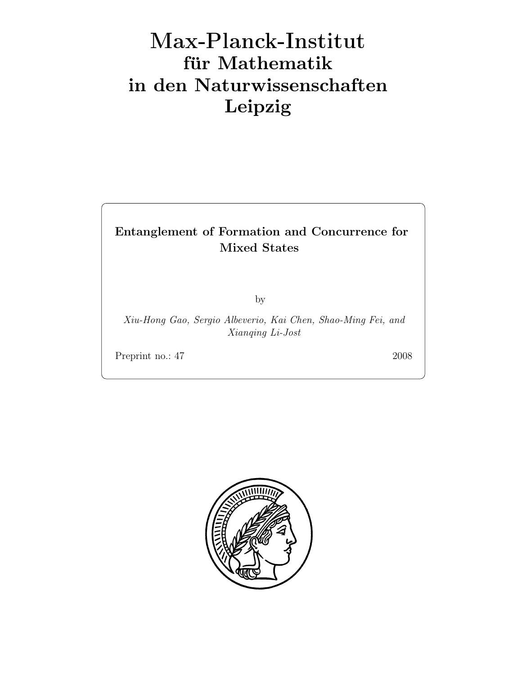# Max-Plan
k-Institut für Mathematik in den Naturwissenschaften Leipzig

# Entanglement of Formation and Concurrence for Mixed States

by

Xiu-Hong Gao, Sergio Albeverio, Kai Chen, Shao-Ming Fei, and Xianqing Li-Jost

Preprint no.: 47 2008

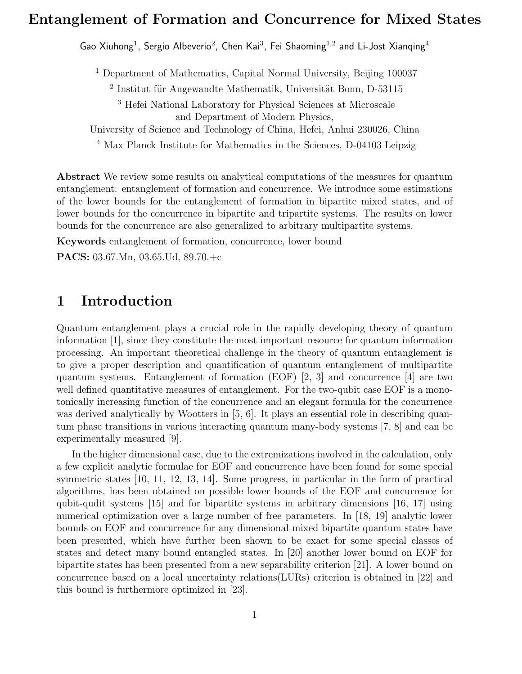## Entanglement of Formation and Concurrence for Mixed States

Gao Xiuhong<sup>1</sup>, Sergio Albeverio<sup>2</sup>, Chen Kai<sup>3</sup>, Fei Shaoming<sup>1,2</sup> and Li-Jost Xianqing<sup>4</sup>

<sup>1</sup> Department of Mathematics, Capital Normal University, Beijing 100037

 $2$  Institut für Angewandte Mathematik, Universität Bonn, D-53115

<sup>3</sup> Hefei National Laboratory for Physical Sciences at Microscale and Department of Modern Physics,

University of Science and Technology of China, Hefei, Anhui 230026, China

<sup>4</sup> Max Planck Institute for Mathematics in the Sciences, D-04103 Leipzig

Abstract We review some results on analytical computations of the measures for quantum entanglement: entanglement of formation and concurrence. We introduce some estimations of the lower bounds for the entanglement of formation in bipartite mixed states, and of lower bounds for the concurrence in bipartite and tripartite systems. The results on lower bounds for the concurrence are also generalized to arbitrary multipartite systems.

Keywords entanglement of formation, concurrence, lower bound

PACS: 03.67.Mn, 03.65.Ud, 89.70.+c

# 1 Introduction

Quantum entanglement plays a crucial role in the rapidly developing theory of quantum information [1], since they constitute the most important resource for quantum information processing. An important theoretical challenge in the theory of quantum entanglement is to give a proper description and quantification of quantum entanglement of multipartite quantum systems. Entanglement of formation (EOF)  $[2, 3]$  and concurrence  $[4]$  are two well defined quantitative measures of entanglement. For the two-qubit case EOF is a monotonically increasing function of the concurrence and an elegant formula for the concurrence was derived analytically by Wootters in [5, 6]. It plays an essential role in describing quantum phase transitions in various interacting quantum many-body systems [7, 8] and can be experimentally measured [9].

In the higher dimensional case, due to the extremizations involved in the calculation, only a few explicit analytic formulae for EOF and concurrence have been found for some special symmetric states [10, 11, 12, 13, 14]. Some progress, in particular in the form of practical algorithms, has been obtained on possible lower bounds of the EOF and concurrence for qubit-qudit systems [15] and for bipartite systems in arbitrary dimensions [16, 17] using numerical optimization over a large number of free parameters. In [18, 19] analytic lower bounds on EOF and concurrence for any dimensional mixed bipartite quantum states have been presented, which have further been shown to be exact for some special classes of states and detect many bound entangled states. In [20] another lower bound on EOF for bipartite states has been presented from a new separability criterion [21]. A lower bound on concurrence based on a local uncertainty relations(LURs) criterion is obtained in [22] and this bound is furthermore optimized in [23].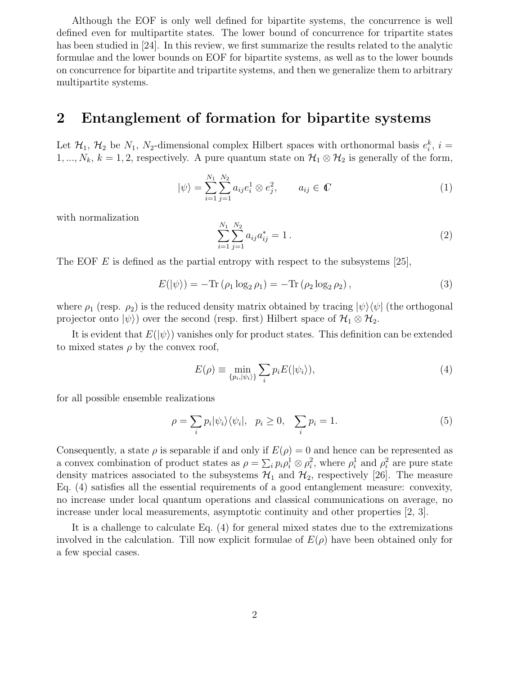Although the EOF is only well defined for bipartite systems, the concurrence is well defined even for multipartite states. The lower bound of concurrence for tripartite states has been studied in [24]. In this review, we first summarize the results related to the analytic formulae and the lower bounds on EOF for bipartite systems, as well as to the lower bounds on concurrence for bipartite and tripartite systems, and then we generalize them to arbitrary multipartite systems.

### 2 Entanglement of formation for bipartite systems

Let  $\mathcal{H}_1$ ,  $\mathcal{H}_2$  be  $N_1$ ,  $N_2$ -dimensional complex Hilbert spaces with orthonormal basis  $e_i^k$ ,  $i =$ 1, ...,  $N_k$ ,  $k = 1, 2$ , respectively. A pure quantum state on  $\mathcal{H}_1 \otimes \mathcal{H}_2$  is generally of the form,

$$
|\psi\rangle = \sum_{i=1}^{N_1} \sum_{j=1}^{N_2} a_{ij} e_i^1 \otimes e_j^2, \qquad a_{ij} \in \mathbb{C}
$$
 (1)

with normalization

$$
\sum_{i=1}^{N_1} \sum_{j=1}^{N_2} a_{ij} a_{ij}^* = 1.
$$
 (2)

The EOF E is defined as the partial entropy with respect to the subsystems  $[25]$ ,

$$
E(|\psi\rangle) = -\text{Tr}(\rho_1 \log_2 \rho_1) = -\text{Tr}(\rho_2 \log_2 \rho_2), \qquad (3)
$$

where  $\rho_1$  (resp.  $\rho_2$ ) is the reduced density matrix obtained by tracing  $|\psi\rangle\langle\psi|$  (the orthogonal projector onto  $|\psi\rangle$  over the second (resp. first) Hilbert space of  $\mathcal{H}_1 \otimes \mathcal{H}_2$ .

It is evident that  $E(|\psi\rangle)$  vanishes only for product states. This definition can be extended to mixed states  $\rho$  by the convex roof,

$$
E(\rho) \equiv \min_{\{p_i, |\psi_i\rangle\}} \sum_i p_i E(|\psi_i\rangle),\tag{4}
$$

for all possible ensemble realizations

$$
\rho = \sum_{i} p_i |\psi_i\rangle\langle\psi_i|, \quad p_i \ge 0, \quad \sum_{i} p_i = 1. \tag{5}
$$

Consequently, a state  $\rho$  is separable if and only if  $E(\rho) = 0$  and hence can be represented as a convex combination of product states as  $\rho = \sum_i p_i \rho_i^1 \otimes \rho_i^2$ , where  $\rho_i^1$  and  $\rho_i^2$  are pure state density matrices associated to the subsystems  $\mathcal{H}_1$  and  $\mathcal{H}_2$ , respectively [26]. The measure Eq. (4) satisfies all the essential requirements of a good entanglement measure: convexity, no increase under local quantum operations and classical communications on average, no increase under local measurements, asymptotic continuity and other properties [2, 3].

It is a challenge to calculate Eq. (4) for general mixed states due to the extremizations involved in the calculation. Till now explicit formulae of  $E(\rho)$  have been obtained only for a few special cases.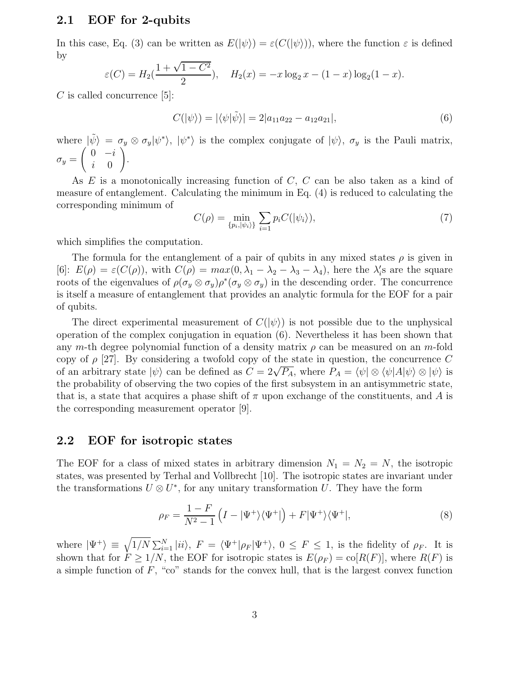#### 2.1 EOF for 2-qubits

In this case, Eq. (3) can be written as  $E(|\psi\rangle) = \varepsilon(C(|\psi\rangle))$ , where the function  $\varepsilon$  is defined by

$$
\varepsilon(C) = H_2(\frac{1+\sqrt{1-C^2}}{2}), \quad H_2(x) = -x\log_2 x - (1-x)\log_2(1-x).
$$

 $C$  is called concurrence [5]:

$$
C(|\psi\rangle) = |\langle \psi|\tilde{\psi}\rangle| = 2|a_{11}a_{22} - a_{12}a_{21}|,\tag{6}
$$

where  $|\tilde{\psi}\rangle = \sigma_y \otimes \sigma_y |\psi^*\rangle$ ,  $|\psi^*\rangle$  is the complex conjugate of  $|\psi\rangle$ ,  $\sigma_y$  is the Pauli matrix,  $\sigma_y =$  $\begin{pmatrix} 0 & -i \end{pmatrix}$ i 0 ! .

As E is a monotonically increasing function of C, C can be also taken as a kind of measure of entanglement. Calculating the minimum in Eq. (4) is reduced to calculating the corresponding minimum of

$$
C(\rho) = \min_{\{p_i, |\psi_i\rangle\}} \sum_{i=1} p_i C(|\psi_i\rangle),\tag{7}
$$

which simplifies the computation.

The formula for the entanglement of a pair of qubits in any mixed states  $\rho$  is given in [6]:  $E(\rho) = \varepsilon(C(\rho))$ , with  $C(\rho) = max(0, \lambda_1 - \lambda_2 - \lambda_3 - \lambda_4)$ , here the  $\lambda'_i$ s are the square roots of the eigenvalues of  $\rho(\sigma_y \otimes \sigma_y)\rho^*(\sigma_y \otimes \sigma_y)$  in the descending order. The concurrence is itself a measure of entanglement that provides an analytic formula for the EOF for a pair of qubits.

The direct experimental measurement of  $C(|\psi\rangle)$  is not possible due to the unphysical operation of the complex conjugation in equation (6). Nevertheless it has been shown that any m-th degree polynomial function of a density matrix  $\rho$  can be measured on an m-fold copy of  $\rho$  [27]. By considering a twofold copy of the state in question, the concurrence C of an arbitrary state  $|\psi\rangle$  can be defined as  $C = 2\sqrt{P_A}$ , where  $P_A = \langle \psi | \otimes \langle \psi | A | \psi \rangle \otimes | \psi \rangle$  is the probability of observing the two copies of the first subsystem in an antisymmetric state, that is, a state that acquires a phase shift of  $\pi$  upon exchange of the constituents, and A is the corresponding measurement operator [9].

#### 2.2 EOF for isotropic states

The EOF for a class of mixed states in arbitrary dimension  $N_1 = N_2 = N$ , the isotropic states, was presented by Terhal and Vollbrecht [10]. The isotropic states are invariant under the transformations  $U \otimes U^*$ , for any unitary transformation U. They have the form

$$
\rho_F = \frac{1 - F}{N^2 - 1} \left( I - |\Psi^+ \rangle \langle \Psi^+| \right) + F |\Psi^+ \rangle \langle \Psi^+|,\tag{8}
$$

where  $|\Psi^+\rangle \equiv \sqrt{1/N} \sum_{i=1}^N |ii\rangle$ ,  $F = \langle \Psi^+|\rho_F|\Psi^+\rangle$ ,  $0 \le F \le 1$ , is the fidelity of  $\rho_F$ . It is shown that for  $\dot{F} \ge 1/N$ , the EOF for isotropic states is  $E(\rho_F) = \text{co}[R(F)]$ , where  $R(F)$  is a simple function of  $F$ , "co" stands for the convex hull, that is the largest convex function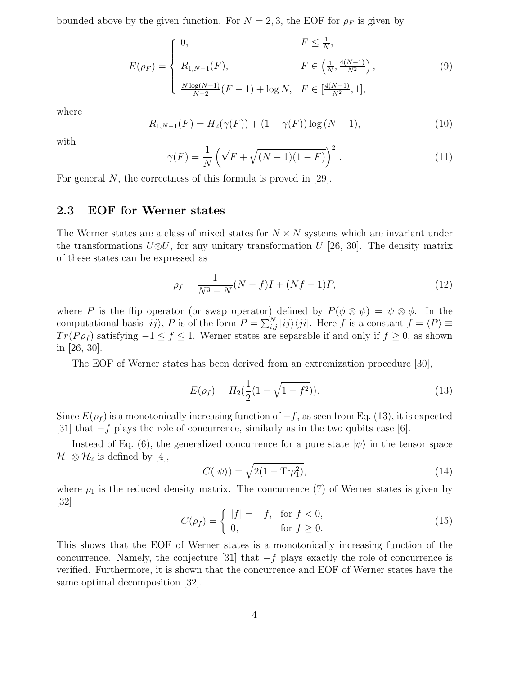bounded above by the given function. For  $N = 2,3$ , the EOF for  $\rho_F$  is given by

$$
E(\rho_F) = \begin{cases} 0, & F \le \frac{1}{N}, \\ R_{1,N-1}(F), & F \in \left(\frac{1}{N}, \frac{4(N-1)}{N^2}\right), \\ \frac{N \log(N-1)}{N-2} (F-1) + \log N, & F \in \left[\frac{4(N-1)}{N^2}, 1\right], \end{cases}
$$
(9)

where

$$
R_{1,N-1}(F) = H_2(\gamma(F)) + (1 - \gamma(F)) \log (N - 1),\tag{10}
$$

with

$$
\gamma(F) = \frac{1}{N} \left( \sqrt{F} + \sqrt{(N-1)(1-F)} \right)^2.
$$
 (11)

For general N, the correctness of this formula is proved in [29].

#### 2.3 EOF for Werner states

The Werner states are a class of mixed states for  $N \times N$  systems which are invariant under the transformations  $U\otimes U$ , for any unitary transformation U [26, 30]. The density matrix of these states can be expressed as

$$
\rho_f = \frac{1}{N^3 - N}(N - f)I + (Nf - 1)P,\tag{12}
$$

where P is the flip operator (or swap operator) defined by  $P(\phi \otimes \psi) = \psi \otimes \phi$ . In the computational basis  $|ij\rangle$ , P is of the form  $P = \sum_{i,j}^{N} |ij\rangle\langle ji|$ . Here f is a constant  $f = \langle P \rangle \equiv$  $Tr(P\rho_f)$  satisfying  $-1 \le f \le 1$ . Werner states are separable if and only if  $f \ge 0$ , as shown in [26, 30].

The EOF of Werner states has been derived from an extremization procedure [30],

$$
E(\rho_f) = H_2(\frac{1}{2}(1 - \sqrt{1 - f^2})).
$$
\n(13)

Since  $E(\rho_f)$  is a monotonically increasing function of  $-f$ , as seen from Eq. (13), it is expected [31] that  $-f$  plays the role of concurrence, similarly as in the two qubits case [6].

Instead of Eq. (6), the generalized concurrence for a pure state  $|\psi\rangle$  in the tensor space  $\mathcal{H}_1 \otimes \mathcal{H}_2$  is defined by [4],

$$
C(|\psi\rangle) = \sqrt{2(1 - \text{Tr}\rho_1^2)},\tag{14}
$$

where  $\rho_1$  is the reduced density matrix. The concurrence (7) of Werner states is given by  $|32|$ 

$$
C(\rho_f) = \begin{cases} |f| = -f, & \text{for } f < 0, \\ 0, & \text{for } f \ge 0. \end{cases}
$$
 (15)

This shows that the EOF of Werner states is a monotonically increasing function of the concurrence. Namely, the conjecture [31] that  $-f$  plays exactly the role of concurrence is verified. Furthermore, it is shown that the concurrence and EOF of Werner states have the same optimal decomposition [32].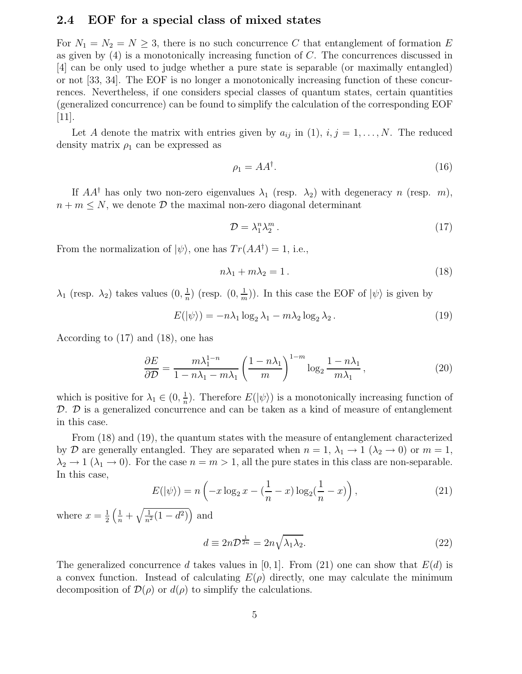#### 2.4 EOF for a special class of mixed states

For  $N_1 = N_2 = N \geq 3$ , there is no such concurrence C that entanglement of formation E as given by  $(4)$  is a monotonically increasing function of C. The concurrences discussed in [4] can be only used to judge whether a pure state is separable (or maximally entangled) or not [33, 34]. The EOF is no longer a monotonically increasing function of these concurrences. Nevertheless, if one considers special classes of quantum states, certain quantities (generalized concurrence) can be found to simplify the calculation of the corresponding EOF [11].

Let A denote the matrix with entries given by  $a_{ij}$  in (1),  $i, j = 1, ..., N$ . The reduced density matrix  $\rho_1$  can be expressed as

$$
\rho_1 = AA^\dagger. \tag{16}
$$

If  $AA^{\dagger}$  has only two non-zero eigenvalues  $\lambda_1$  (resp.  $\lambda_2$ ) with degeneracy n (resp. m),  $n + m \leq N$ , we denote  $\mathcal{D}$  the maximal non-zero diagonal determinant

$$
\mathcal{D} = \lambda_1^n \lambda_2^m \,. \tag{17}
$$

From the normalization of  $|\psi\rangle$ , one has  $Tr(AA^{\dagger}) = 1$ , i.e.,

$$
n\lambda_1 + m\lambda_2 = 1.
$$
\n<sup>(18)</sup>

 $\lambda_1$  (resp.  $\lambda_2$ ) takes values  $(0, \frac{1}{n})$  $\frac{1}{n}$ ) (resp.  $(0, \frac{1}{m})$  $(\frac{1}{m})$ ). In this case the EOF of  $|\psi\rangle$  is given by

$$
E(|\psi\rangle) = -n\lambda_1 \log_2 \lambda_1 - m\lambda_2 \log_2 \lambda_2.
$$
 (19)

According to (17) and (18), one has

$$
\frac{\partial E}{\partial \mathcal{D}} = \frac{m\lambda_1^{1-n}}{1 - n\lambda_1 - m\lambda_1} \left(\frac{1 - n\lambda_1}{m}\right)^{1 - m} \log_2 \frac{1 - n\lambda_1}{m\lambda_1},\tag{20}
$$

which is positive for  $\lambda_1 \in (0, \frac{1}{n})$  $\frac{1}{n}$ ). Therefore  $E(|\psi\rangle)$  is a monotonically increasing function of  $\mathcal{D}.$   $\mathcal{D}$  is a generalized concurrence and can be taken as a kind of measure of entanglement in this case.

From (18) and (19), the quantum states with the measure of entanglement characterized by D are generally entangled. They are separated when  $n = 1, \lambda_1 \rightarrow 1$  ( $\lambda_2 \rightarrow 0$ ) or  $m = 1$ ,  $\lambda_2 \to 1$  ( $\lambda_1 \to 0$ ). For the case  $n = m > 1$ , all the pure states in this class are non-separable. In this case,

$$
E(|\psi\rangle) = n\left(-x\log_2 x - \left(\frac{1}{n} - x\right)\log_2\left(\frac{1}{n} - x\right)\right),\tag{21}
$$

where  $x=\frac{1}{2}$ 2  $\left(\frac{1}{n} + \sqrt{\frac{1}{n^2}(1 - d^2)}\right)$  and

$$
d \equiv 2n\mathcal{D}^{\frac{1}{2n}} = 2n\sqrt{\lambda_1 \lambda_2}.
$$
 (22)

The generalized concurrence d takes values in [0, 1]. From (21) one can show that  $E(d)$  is a convex function. Instead of calculating  $E(\rho)$  directly, one may calculate the minimum decomposition of  $\mathcal{D}(\rho)$  or  $d(\rho)$  to simplify the calculations.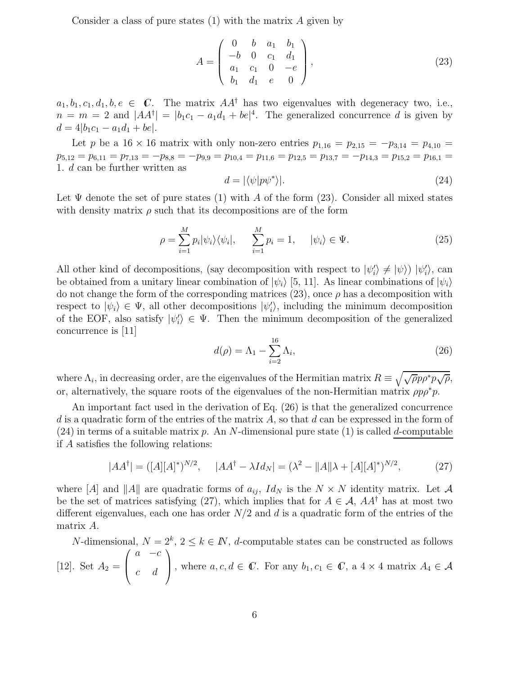Consider a class of pure states  $(1)$  with the matrix A given by

$$
A = \begin{pmatrix} 0 & b & a_1 & b_1 \\ -b & 0 & c_1 & d_1 \\ a_1 & c_1 & 0 & -e \\ b_1 & d_1 & e & 0 \end{pmatrix},
$$
 (23)

 $a_1, b_1, c_1, d_1, b, e \in \mathbb{C}$ . The matrix  $AA^{\dagger}$  has two eigenvalues with degeneracy two, i.e.,  $n = m = 2$  and  $|AA^{\dagger}| = |b_1c_1 - a_1d_1 + be|^4$ . The generalized concurrence d is given by  $d = 4|b_1c_1 - a_1d_1 + be|.$ 

Let p be a 16 × 16 matrix with only non-zero entries  $p_{1,16} = p_{2,15} = -p_{3,14} = p_{4,10}$  $p_{5,12} = p_{6,11} = p_{7,13} = -p_{8,8} = -p_{9,9} = p_{10,4} = p_{11,6} = p_{12,5} = p_{13,7} = -p_{14,3} = p_{15,2} = p_{16,1} =$ 1. d can be further written as

$$
d = |\langle \psi | p \psi^* \rangle|. \tag{24}
$$

Let  $\Psi$  denote the set of pure states (1) with A of the form (23). Consider all mixed states with density matrix  $\rho$  such that its decompositions are of the form

$$
\rho = \sum_{i=1}^{M} p_i |\psi_i\rangle\langle\psi_i|, \qquad \sum_{i=1}^{M} p_i = 1, \qquad |\psi_i\rangle \in \Psi.
$$
\n(25)

All other kind of decompositions, (say decomposition with respect to  $|\psi_i'\rangle \neq |\psi\rangle$ )  $|\psi_i'\rangle$ , can be obtained from a unitary linear combination of  $|\psi_i\rangle$  [5, 11]. As linear combinations of  $|\psi_i\rangle$ do not change the form of the corresponding matrices (23), once  $\rho$  has a decomposition with respect to  $|\psi_i\rangle \in \Psi$ , all other decompositions  $|\psi'_i\rangle$ , including the minimum decomposition of the EOF, also satisfy  $|\psi_i'\rangle \in \Psi$ . Then the minimum decomposition of the generalized concurrence is [11]

$$
d(\rho) = \Lambda_1 - \sum_{i=2}^{16} \Lambda_i,\tag{26}
$$

where  $\Lambda_i$ , in decreasing order, are the eigenvalues of the Hermitian matrix  $R \equiv \sqrt{\sqrt{\rho}p\rho^*p\sqrt{\rho}},$ or, alternatively, the square roots of the eigenvalues of the non-Hermitian matrix  $\rho p \rho^* p$ .

An important fact used in the derivation of Eq. (26) is that the generalized concurrence d is a quadratic form of the entries of the matrix  $A$ , so that  $d$  can be expressed in the form of (24) in terms of a suitable matrix p. An N-dimensional pure state (1) is called d-computable if A satisfies the following relations:

$$
|AA^{\dagger}| = ([A][A]^*)^{N/2}, \quad |AA^{\dagger} - \lambda Id_N| = (\lambda^2 - ||A||\lambda + [A][A]^*)^{N/2}, \tag{27}
$$

where [A] and ||A|| are quadratic forms of  $a_{ij}$ ,  $Id_N$  is the  $N \times N$  identity matrix. Let A be the set of matrices satisfying (27), which implies that for  $A \in \mathcal{A}$ ,  $AA^{\dagger}$  has at most two different eigenvalues, each one has order  $N/2$  and d is a quadratic form of the entries of the matrix A.

N-dimensional,  $N = 2^k$ ,  $2 \le k \in \mathbb{N}$ , d-computable states can be constructed as follows [12]. Set  $A_2 =$  $\sqrt{ }$  $\overline{ }$  $a -c$ c d  $\setminus$ , where  $a, c, d \in \mathbb{C}$ . For any  $b_1, c_1 \in \mathbb{C}$ , a  $4 \times 4$  matrix  $A_4 \in \mathcal{A}$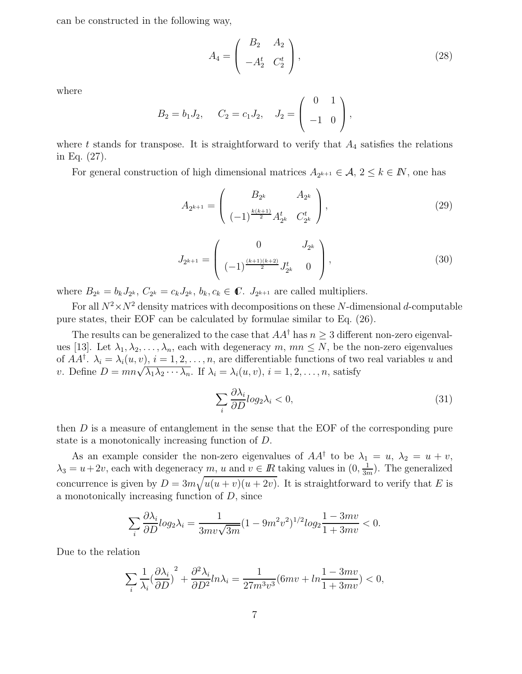can be constructed in the following way,

$$
A_4 = \begin{pmatrix} B_2 & A_2 \\ -A_2^t & C_2^t \end{pmatrix},\tag{28}
$$

where

$$
B_2 = b_1 J_2
$$
,  $C_2 = c_1 J_2$ ,  $J_2 = \begin{pmatrix} 0 & 1 \\ -1 & 0 \end{pmatrix}$ ,

where t stands for transpose. It is straightforward to verify that  $A_4$  satisfies the relations in Eq. (27).

For general construction of high dimensional matrices  $A_{2^{k+1}} \in \mathcal{A}, 2 \leq k \in \mathbb{N}$ , one has

$$
A_{2^{k+1}} = \begin{pmatrix} B_{2^k} & A_{2^k} \\ (-1)^{\frac{k(k+1)}{2}} A_{2^k}^t & C_{2^k}^t \end{pmatrix},
$$
 (29)

$$
J_{2^{k+1}} = \begin{pmatrix} 0 & J_{2^k} \\ (-1)^{\frac{(k+1)(k+2)}{2}} J_{2^k}^t & 0 \end{pmatrix},
$$
 (30)

where  $B_{2^k} = b_k J_{2^k}, C_{2^k} = c_k J_{2^k}, b_k, c_k \in \mathbb{C}.$   $J_{2^{k+1}}$  are called multipliers.

For all  $N^2 \times N^2$  density matrices with decompositions on these N-dimensional d-computable pure states, their EOF can be calculated by formulae similar to Eq. (26).

The results can be generalized to the case that  $AA^{\dagger}$  has  $n \geq 3$  different non-zero eigenvalues [13]. Let  $\lambda_1, \lambda_2, \ldots, \lambda_n$ , each with degeneracy m,  $mn \leq N$ , be the non-zero eigenvalues of  $AA^{\dagger}$ .  $\lambda_i = \lambda_i(u, v), i = 1, 2, ..., n$ , are differentiable functions of two real variables u and v. Define  $D = mn\sqrt{\lambda_1\lambda_2\cdots\lambda_n}$ . If  $\lambda_i = \lambda_i(u, v), i = 1, 2, \ldots, n$ , satisfy

$$
\sum_{i} \frac{\partial \lambda_i}{\partial D} log_2 \lambda_i < 0,\tag{31}
$$

then  $D$  is a measure of entanglement in the sense that the EOF of the corresponding pure state is a monotonically increasing function of D.

As an example consider the non-zero eigenvalues of  $AA^{\dagger}$  to be  $\lambda_1 = u, \lambda_2 = u + v$ ,  $\lambda_3 = u + 2v$ , each with degeneracy  $m, u$  and  $v \in \mathbb{R}$  taking values in  $(0, \frac{1}{3n})$  $\frac{1}{3m}$ ). The generalized concurrence is given by  $D = 3m\sqrt{u(u+v)(u+2v)}$ . It is straightforward to verify that E is a monotonically increasing function of D, since

$$
\sum_{i} \frac{\partial \lambda_i}{\partial D} log_2 \lambda_i = \frac{1}{3m\upsilon \sqrt{3m}} (1 - 9m^2 \upsilon^2)^{1/2} log_2 \frac{1 - 3m\upsilon}{1 + 3m\upsilon} < 0.
$$

Due to the relation

$$
\sum_{i} \frac{1}{\lambda_i} \left(\frac{\partial \lambda_i}{\partial D}\right)^2 + \frac{\partial^2 \lambda_i}{\partial D^2} ln \lambda_i = \frac{1}{27m^3v^3} (6mv + ln \frac{1 - 3mv}{1 + 3mv}) < 0,
$$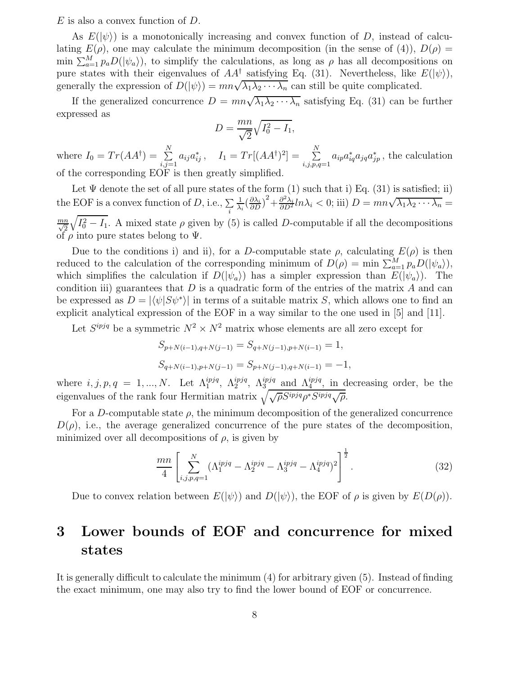$E$  is also a convex function of  $D$ .

As  $E(|\psi\rangle)$  is a monotonically increasing and convex function of D, instead of calculating  $E(\rho)$ , one may calculate the minimum decomposition (in the sense of (4)),  $D(\rho)$  = min  $\sum_{a=1}^{M} p_a D(|\psi_a\rangle)$ , to simplify the calculations, as long as  $\rho$  has all decompositions on pure states with their eigenvalues of  $AA^{\dagger}$  satisfying Eq. (31). Nevertheless, like  $E(|\psi\rangle)$ , generally the expression of  $D(|\psi\rangle) = mn\sqrt{\lambda_1\lambda_2\cdots\lambda_n}$  can still be quite complicated.

If the generalized concurrence  $D = mn\sqrt{\lambda_1\lambda_2\cdots\lambda_n}$  satisfying Eq. (31) can be further expressed as

$$
D = \frac{mn}{\sqrt{2}}\sqrt{I_0^2 - I_1},
$$

where  $I_0 = Tr(AA^{\dagger}) = \sum_{i=1}^{N}$  $\sum_{i,j=1}^N a_{ij} a_{ij}^*$ ,  $I_1 = Tr[(AA^{\dagger})^2] = \sum_{i,j,p,q}^N$  $\sum_{i,j,p,q=1} a_{ip} a_{iq}^* a_{jq} a_{jp}^*$ , the calculation of the corresponding EOF is then greatly simplified.

Let  $\Psi$  denote the set of all pure states of the form (1) such that i) Eq. (31) is satisfied; ii) the EOF is a convex function of  $D$ , i.e.,  $\sum_{i}$ 1  $\frac{1}{\lambda_i} \left( \frac{\partial \lambda_i}{\partial D} \right)^2 + \frac{\partial^2 \lambda_i}{\partial D^2} ln \lambda_i < 0$ ; iii)  $D = mn \sqrt{\lambda_1 \lambda_2 \cdots \lambda_n} =$  $\frac{mn}{\sqrt{2}}$  $\sqrt{I_0^2 - I_1}$ . A mixed state  $\rho$  given by (5) is called D-computable if all the decompositions of  $\rho$  into pure states belong to  $\Psi$ .

Due to the conditions i) and ii), for a D-computable state  $\rho$ , calculating  $E(\rho)$  is then reduced to the calculation of the corresponding minimum of  $D(\rho) = \min \sum_{a=1}^{M} p_a D(|\psi_a\rangle)$ , which simplifies the calculation if  $D(|\psi_a\rangle)$  has a simpler expression than  $E(|\psi_a\rangle)$ . The condition iii) guarantees that  $D$  is a quadratic form of the entries of the matrix  $A$  and can be expressed as  $D = |\langle \psi | S \psi^* \rangle|$  in terms of a suitable matrix S, which allows one to find an explicit analytical expression of the EOF in a way similar to the one used in [5] and [11].

Let  $S^{ipjq}$  be a symmetric  $N^2 \times N^2$  matrix whose elements are all zero except for

$$
S_{p+N(i-1),q+N(j-1)} = S_{q+N(j-1),p+N(i-1)} = 1,
$$
  
\n
$$
S_{q+N(i-1),p+N(j-1)} = S_{p+N(j-1),q+N(i-1)} = -1,
$$

where  $i, j, p, q = 1, ..., N$ . Let  $\Lambda_1^{ipjq}$ ,  $\Lambda_2^{ipjq}$ ,  $\Lambda_3^{ipjq}$  and  $\Lambda_4^{ipjq}$ , in decreasing order, be the eigenvalues of the rank four Hermitian matrix  $\sqrt{\sqrt{\rho}S^{ipjq}\rho^*S^{ipjq}\sqrt{\rho}}$ .

For a D-computable state  $\rho$ , the minimum decomposition of the generalized concurrence  $D(\rho)$ , i.e., the average generalized concurrence of the pure states of the decomposition, minimized over all decompositions of  $\rho$ , is given by

$$
\frac{mn}{4} \left[ \sum_{i,j,p,q=1}^{N} (\Lambda_1^{ipjq} - \Lambda_2^{ipjq} - \Lambda_3^{ipjq} - \Lambda_4^{ipjq})^2 \right]^{\frac{1}{2}}.
$$
 (32)

Due to convex relation between  $E(|\psi\rangle)$  and  $D(|\psi\rangle)$ , the EOF of  $\rho$  is given by  $E(D(\rho))$ .

# 3 Lower bounds of EOF and concurrence for mixed states

It is generally difficult to calculate the minimum (4) for arbitrary given (5). Instead of finding the exact minimum, one may also try to find the lower bound of EOF or concurrence.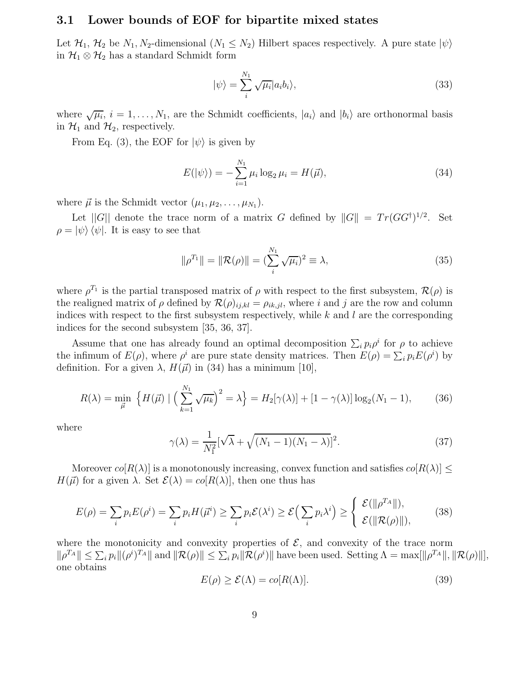#### 3.1 Lower bounds of EOF for bipartite mixed states

Let  $\mathcal{H}_1, \mathcal{H}_2$  be  $N_1, N_2$ -dimensional  $(N_1 \leq N_2)$  Hilbert spaces respectively. A pure state  $|\psi\rangle$ in  $\mathcal{H}_1 \otimes \mathcal{H}_2$  has a standard Schmidt form

$$
|\psi\rangle = \sum_{i}^{N_1} \sqrt{\mu_i} |a_i b_i\rangle, \tag{33}
$$

where  $\sqrt{\mu_i}$ ,  $i = 1, ..., N_1$ , are the Schmidt coefficients,  $|a_i\rangle$  and  $|b_i\rangle$  are orthonormal basis in  $\mathcal{H}_1$  and  $\mathcal{H}_2$ , respectively.

From Eq. (3), the EOF for  $|\psi\rangle$  is given by

$$
E(|\psi\rangle) = -\sum_{i=1}^{N_1} \mu_i \log_2 \mu_i = H(\vec{\mu}),
$$
\n(34)

where  $\vec{\mu}$  is the Schmidt vector  $(\mu_1, \mu_2, \ldots, \mu_{N_1}).$ 

Let  $||G||$  denote the trace norm of a matrix G defined by  $||G|| = Tr(GG^{\dagger})^{1/2}$ . Set  $\rho = |\psi\rangle \langle \psi|$ . It is easy to see that

$$
\|\rho^{T_1}\| = \|\mathcal{R}(\rho)\| = (\sum_{i}^{N_1} \sqrt{\mu_i})^2 \equiv \lambda,\tag{35}
$$

where  $\rho^{T_1}$  is the partial transposed matrix of  $\rho$  with respect to the first subsystem,  $\mathcal{R}(\rho)$  is the realigned matrix of  $\rho$  defined by  $\mathcal{R}(\rho)_{ij,kl} = \rho_{ik,jl}$ , where i and j are the row and column indices with respect to the first subsystem respectively, while  $k$  and  $l$  are the corresponding indices for the second subsystem [35, 36, 37].

Assume that one has already found an optimal decomposition  $\sum_i p_i \rho^i$  for  $\rho$  to achieve the infimum of  $E(\rho)$ , where  $\rho^i$  are pure state density matrices. Then  $E(\rho) = \sum_i p_i E(\rho^i)$  by definition. For a given  $\lambda$ ,  $H(\vec{\mu})$  in (34) has a minimum [10],

$$
R(\lambda) = \min_{\vec{\mu}} \left\{ H(\vec{\mu}) \mid \left( \sum_{k=1}^{N_1} \sqrt{\mu_k} \right)^2 = \lambda \right\} = H_2[\gamma(\lambda)] + [1 - \gamma(\lambda)] \log_2(N_1 - 1), \tag{36}
$$

where

$$
\gamma(\lambda) = \frac{1}{N_1^2} [\sqrt{\lambda} + \sqrt{(N_1 - 1)(N_1 - \lambda)}]^2.
$$
 (37)

Moreover  $co[R(\lambda)]$  is a monotonously increasing, convex function and satisfies  $co[R(\lambda)] \leq$  $H(\vec{\mu})$  for a given  $\lambda$ . Set  $\mathcal{E}(\lambda) = co[R(\lambda)],$  then one thus has

$$
E(\rho) = \sum_{i} p_i E(\rho^i) = \sum_{i} p_i H(\vec{\mu}^i) \ge \sum_{i} p_i \mathcal{E}(\lambda^i) \ge \mathcal{E}\Big(\sum_{i} p_i \lambda^i\Big) \ge \begin{cases} \mathcal{E}(\|\rho^{T_A}\|),\\ \mathcal{E}(\|\mathcal{R}(\rho)\|), \end{cases}
$$
(38)

where the monotonicity and convexity properties of  $\mathcal{E}$ , and convexity of the trace norm  $\|\rho^{T_A}\| \leq \sum_i p_i \|(\rho^i)^{T_A}\|$  and  $\|\mathcal{R}(\rho)\| \leq \sum_i p_i \|\mathcal{R}(\rho^i)\|$  have been used. Setting  $\Lambda = \max[\|\rho^{T_A}\|, \|\mathcal{R}(\rho)\|],$ one obtains

$$
E(\rho) \ge \mathcal{E}(\Lambda) = co[R(\Lambda)].
$$
\n(39)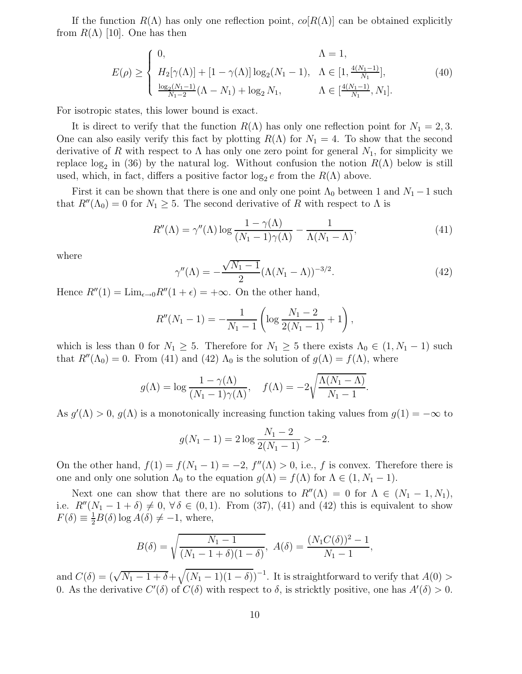If the function  $R(\Lambda)$  has only one reflection point,  $co[R(\Lambda)]$  can be obtained explicitly from  $R(\Lambda)$  [10]. One has then

$$
E(\rho) \ge \begin{cases} 0, & \Lambda = 1, \\ H_2[\gamma(\Lambda)] + [1 - \gamma(\Lambda)] \log_2(N_1 - 1), & \Lambda \in [1, \frac{4(N_1 - 1)}{N_1}], \\ \frac{\log_2(N_1 - 1)}{N_1 - 2}(\Lambda - N_1) + \log_2 N_1, & \Lambda \in [\frac{4(N_1 - 1)}{N_1}, N_1]. \end{cases}
$$
(40)

For isotropic states, this lower bound is exact.

It is direct to verify that the function  $R(\Lambda)$  has only one reflection point for  $N_1 = 2, 3$ . One can also easily verify this fact by plotting  $R(\Lambda)$  for  $N_1 = 4$ . To show that the second derivative of R with respect to  $\Lambda$  has only one zero point for general  $N_1$ , for simplicity we replace  $log_2$  in (36) by the natural log. Without confusion the notion  $R(\Lambda)$  below is still used, which, in fact, differs a positive factor  $log_2 e$  from the  $R(\Lambda)$  above.

First it can be shown that there is one and only one point  $\Lambda_0$  between 1 and  $N_1 - 1$  such that  $R''(\Lambda_0) = 0$  for  $N_1 \geq 5$ . The second derivative of R with respect to  $\Lambda$  is

$$
R''(\Lambda) = \gamma''(\Lambda) \log \frac{1 - \gamma(\Lambda)}{(N_1 - 1)\gamma(\Lambda)} - \frac{1}{\Lambda(N_1 - \Lambda)},\tag{41}
$$

where

$$
\gamma''(\Lambda) = -\frac{\sqrt{N_1 - 1}}{2} (\Lambda (N_1 - \Lambda))^{-3/2}.
$$
 (42)

Hence  $R''(1) = \lim_{\epsilon \to 0} R''(1 + \epsilon) = +\infty$ . On the other hand,

$$
R''(N_1 - 1) = -\frac{1}{N_1 - 1} \left( \log \frac{N_1 - 2}{2(N_1 - 1)} + 1 \right),
$$

which is less than 0 for  $N_1 \geq 5$ . Therefore for  $N_1 \geq 5$  there exists  $\Lambda_0 \in (1, N_1 - 1)$  such that  $R''(\Lambda_0) = 0$ . From (41) and (42)  $\Lambda_0$  is the solution of  $g(\Lambda) = f(\Lambda)$ , where

$$
g(\Lambda) = \log \frac{1 - \gamma(\Lambda)}{(N_1 - 1)\gamma(\Lambda)}, \quad f(\Lambda) = -2\sqrt{\frac{\Lambda(N_1 - \Lambda)}{N_1 - 1}}.
$$

As  $g'(\Lambda) > 0$ ,  $g(\Lambda)$  is a monotonically increasing function taking values from  $g(1) = -\infty$  to

$$
g(N_1 - 1) = 2\log \frac{N_1 - 2}{2(N_1 - 1)} > -2.
$$

On the other hand,  $f(1) = f(N_1 - 1) = -2$ ,  $f''(\Lambda) > 0$ , i.e., f is convex. Therefore there is one and only one solution  $\Lambda_0$  to the equation  $g(\Lambda) = f(\Lambda)$  for  $\Lambda \in (1, N_1 - 1)$ .

Next one can show that there are no solutions to  $R''(\Lambda) = 0$  for  $\Lambda \in (N_1 - 1, N_1)$ , i.e.  $R''(N_1 - 1 + \delta) \neq 0$ ,  $\forall \delta \in (0, 1)$ . From (37), (41) and (42) this is equivalent to show  $F(\delta) \equiv \frac{1}{2}B(\delta) \log A(\delta) \neq -1$ , where,

$$
B(\delta) = \sqrt{\frac{N_1 - 1}{(N_1 - 1 + \delta)(1 - \delta)}}, \ A(\delta) = \frac{(N_1 C(\delta))^2 - 1}{N_1 - 1},
$$

and  $C(\delta) = (\sqrt{N_1 - 1 + \delta} + \sqrt{(N_1 - 1)(1 - \delta)})^{-1}$ . It is straightforward to verify that  $A(0) >$ 0. As the derivative  $C'(\delta)$  of  $C(\delta)$  with respect to  $\delta$ , is stricktly positive, one has  $A'(\delta) > 0$ .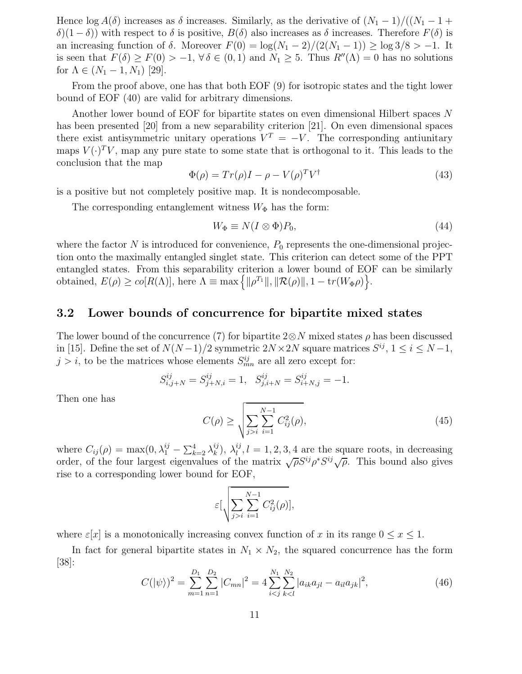Hence  $\log A(\delta)$  increases as  $\delta$  increases. Similarly, as the derivative of  $(N_1 - 1)/((N_1 - 1 +$  $\delta(1-\delta)$ ) with respect to δ is positive,  $B(\delta)$  also increases as δ increases. Therefore  $F(\delta)$  is an increasing function of  $\delta$ . Moreover  $F(0) = \log(N_1 - 2)/(2(N_1 - 1)) \ge \log 3/8 > -1$ . It is seen that  $F(\delta) \ge F(0) > -1$ ,  $\forall \delta \in (0,1)$  and  $N_1 \ge 5$ . Thus  $R''(\Lambda) = 0$  has no solutions for  $\Lambda \in (N_1 - 1, N_1)$  [29].

From the proof above, one has that both EOF (9) for isotropic states and the tight lower bound of EOF (40) are valid for arbitrary dimensions.

Another lower bound of EOF for bipartite states on even dimensional Hilbert spaces N has been presented [20] from a new separability criterion [21]. On even dimensional spaces there exist antisymmetric unitary operations  $V^T = -V$ . The corresponding antiunitary maps  $V(\cdot)^T V$ , map any pure state to some state that is orthogonal to it. This leads to the conclusion that the map

$$
\Phi(\rho) = Tr(\rho)I - \rho - V(\rho)^T V^{\dagger}
$$
\n(43)

is a positive but not completely positive map. It is nondecomposable.

The corresponding entanglement witness  $W_{\Phi}$  has the form:

$$
W_{\Phi} \equiv N(I \otimes \Phi)P_0,\tag{44}
$$

where the factor N is introduced for convenience,  $P_0$  represents the one-dimensional projection onto the maximally entangled singlet state. This criterion can detect some of the PPT entangled states. From this separability criterion a lower bound of EOF can be similarly obtained,  $E(\rho) \geq co[R(\Lambda)],$  here  $\Lambda \equiv \max \left\{ ||\rho^{T_1}||, ||\mathcal{R}(\rho)||, 1 - \text{tr}(W_{\Phi}\rho) \right\}.$ 

#### 3.2 Lower bounds of concurrence for bipartite mixed states

The lower bound of the concurrence (7) for bipartite  $2 \otimes N$  mixed states  $\rho$  has been discussed in [15]. Define the set of  $N(N-1)/2$  symmetric  $2N \times 2N$  square matrices  $S^{ij}$ ,  $1 \le i \le N-1$ ,  $j > i$ , to be the matrices whose elements  $S_{mn}^{ij}$  are all zero except for:

$$
S_{i,j+N}^{ij} = S_{j+N,i}^{ij} = 1, \quad S_{j,i+N}^{ij} = S_{i+N,j}^{ij} = -1.
$$

Then one has

$$
C(\rho) \ge \sqrt{\sum_{j>i} \sum_{i=1}^{N-1} C_{ij}^2(\rho)},
$$
\n(45)

where  $C_{ij}(\rho) = \max(0, \lambda_1^{ij} - \sum_{k=2}^4 \lambda_k^{ij})$  $_k^{ij}), \ \lambda_l^{ij}$  $l_l^{ij}$ ,  $l = 1, 2, 3, 4$  are the square roots, in decreasing order, of the four largest eigenvalues of the matrix  $\sqrt{\rho}S^{ij}\rho^*S^{ij}\sqrt{\rho}$ . This bound also gives rise to a corresponding lower bound for EOF,

$$
\varepsilon \left[ \sqrt{\sum_{j>i} \sum_{i=1}^{N-1} C_{ij}^2(\rho)} \right],
$$

where  $\varepsilon[x]$  is a monotonically increasing convex function of x in its range  $0 \le x \le 1$ .

In fact for general bipartite states in  $N_1 \times N_2$ , the squared concurrence has the form [38]:

$$
C(|\psi\rangle)^2 = \sum_{m=1}^{D_1} \sum_{n=1}^{D_2} |C_{mn}|^2 = 4 \sum_{i < j}^{N_1} \sum_{k < l}^{N_2} |a_{ik}a_{jl} - a_{il}a_{jk}|^2,\tag{46}
$$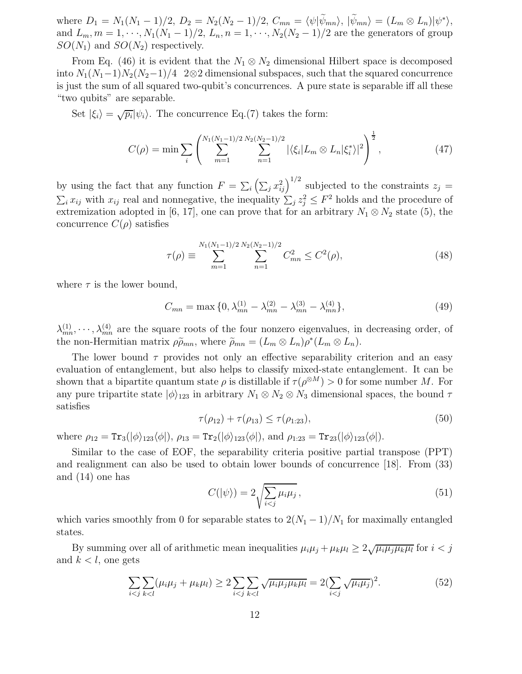where  $D_1 = N_1(N_1 - 1)/2$ ,  $D_2 = N_2(N_2 - 1)/2$ ,  $C_{mn} = \langle \psi | \psi_{mn} \rangle$ ,  $|\psi_{mn} \rangle = (L_m \otimes L_n) |\psi^* \rangle$ , and  $L_m, m = 1, \dots, N_1(N_1 - 1)/2, L_n, n = 1, \dots, N_2(N_2 - 1)/2$  are the generators of group  $SO(N_1)$  and  $SO(N_2)$  respectively.

From Eq. (46) it is evident that the  $N_1 \otimes N_2$  dimensional Hilbert space is decomposed into  $N_1(N_1-1)N_2(N_2-1)/4$  2⊗2 dimensional subspaces, such that the squared concurrence is just the sum of all squared two-qubit's concurrences. A pure state is separable iff all these "two qubits" are separable.

Set  $|\xi_i\rangle = \sqrt{p_i}|\psi_i\rangle$ . The concurrence Eq.(7) takes the form:

$$
C(\rho) = \min \sum_{i} \left( \sum_{m=1}^{N_1(N_1 - 1)/2} \sum_{n=1}^{N_2(N_2 - 1)/2} |\langle \xi_i | L_m \otimes L_n | \xi_i^* \rangle|^2 \right)^{\frac{1}{2}}, \tag{47}
$$

by using the fact that any function  $F = \sum_i \left( \sum_j x_{ij}^2 \right)^{1/2}$  subjected to the constraints  $z_j =$  $\sum_i x_{ij}$  with  $x_{ij}$  real and nonnegative, the inequality  $\sum_j z_j^2 \leq F^2$  holds and the procedure of extremization adopted in [6, 17], one can prove that for an arbitrary  $N_1 \otimes N_2$  state (5), the concurrence  $C(\rho)$  satisfies

$$
\tau(\rho) \equiv \sum_{m=1}^{N_1(N_1-1)/2} \sum_{n=1}^{N_2(N_2-1)/2} C_{mn}^2 \le C^2(\rho),\tag{48}
$$

where  $\tau$  is the lower bound,

$$
C_{mn} = \max\{0, \lambda_{mn}^{(1)} - \lambda_{mn}^{(2)} - \lambda_{mn}^{(3)} - \lambda_{mn}^{(4)}\},\tag{49}
$$

 $\lambda_{mn}^{(1)}, \dots, \lambda_{mn}^{(4)}$  are the square roots of the four nonzero eigenvalues, in decreasing order, of the non-Hermitian matrix  $\rho \tilde{\rho}_{mn}$ , where  $\tilde{\rho}_{mn} = (L_m \otimes L_n) \rho^* (L_m \otimes L_n)$ .

The lower bound  $\tau$  provides not only an effective separability criterion and an easy evaluation of entanglement, but also helps to classify mixed-state entanglement. It can be shown that a bipartite quantum state  $\rho$  is distillable if  $\tau(\rho^{\otimes M}) > 0$  for some number M. For any pure tripartite state  $|\phi\rangle_{123}$  in arbitrary  $N_1 \otimes N_2 \otimes N_3$  dimensional spaces, the bound  $\tau$ satisfies

$$
\tau(\rho_{12}) + \tau(\rho_{13}) \le \tau(\rho_{1:23}),\tag{50}
$$

where  $\rho_{12} = \text{Tr}_3(|\phi\rangle_{123}\langle\phi|), \rho_{13} = \text{Tr}_2(|\phi\rangle_{123}\langle\phi|), \text{ and } \rho_{1:23} = \text{Tr}_{23}(|\phi\rangle_{123}\langle\phi|).$ 

Similar to the case of EOF, the separability criteria positive partial transpose (PPT) and realignment can also be used to obtain lower bounds of concurrence [18]. From (33) and (14) one has

$$
C(|\psi\rangle) = 2\sqrt{\sum_{i < j} \mu_i \mu_j},\tag{51}
$$

which varies smoothly from 0 for separable states to  $2(N_1-1)/N_1$  for maximally entangled states.

By summing over all of arithmetic mean inequalities  $\mu_i \mu_j + \mu_k \mu_l \geq 2\sqrt{\mu_i \mu_j \mu_k \mu_l}$  for  $i < j$ and  $k < l$ , one gets

$$
\sum_{i < j} \sum_{k < l} (\mu_i \mu_j + \mu_k \mu_l) \ge 2 \sum_{i < j} \sum_{k < l} \sqrt{\mu_i \mu_j \mu_k \mu_l} = 2 \left( \sum_{i < j} \sqrt{\mu_i \mu_j} \right)^2. \tag{52}
$$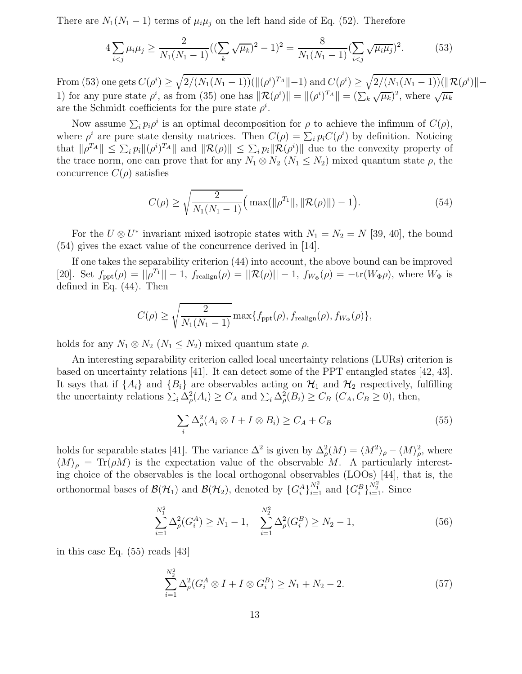There are  $N_1(N_1-1)$  terms of  $\mu_i\mu_j$  on the left hand side of Eq. (52). Therefore

$$
4\sum_{i
$$

From (53) one gets  $C(\rho^i) \geq \sqrt{2/(N_1(N_1-1))} (\|(\rho^i)^{T_A}\|-1)$  and  $C(\rho^i) \geq \sqrt{2/(N_1(N_1-1))} (\|\mathcal{R}(\rho^i)\|-1)$ 1) for any pure state  $\rho^i$ , as from (35) one has  $\|\mathcal{R}(\rho^i)\| = \|(\rho^i)^{T_A}\| = (\sum_{k} \sqrt{\mu_k})^2$ , where  $\sqrt{\mu_k}$ are the Schmidt coefficients for the pure state  $\rho^i$ .

Now assume  $\sum_i p_i \rho^i$  is an optimal decomposition for  $\rho$  to achieve the infimum of  $C(\rho)$ , where  $\rho^i$  are pure state density matrices. Then  $C(\rho) = \sum_i p_i C(\rho^i)$  by definition. Noticing that  $\|\rho^{T_A}\| \leq \sum_i p_i \|\rho^{i})^{T_A}\|$  and  $\|\mathcal{R}(\rho)\| \leq \sum_i p_i \|\mathcal{R}(\rho^{i})\|$  due to the convexity property of the trace norm, one can prove that for any  $N_1 \otimes N_2$   $(N_1 \leq N_2)$  mixed quantum state  $\rho$ , the concurrence  $C(\rho)$  satisfies

$$
C(\rho) \ge \sqrt{\frac{2}{N_1(N_1 - 1)}} \Big( \max(\|\rho^{T_1}\|, \|\mathcal{R}(\rho)\|) - 1 \Big). \tag{54}
$$

For the  $U \otimes U^*$  invariant mixed isotropic states with  $N_1 = N_2 = N$  [39, 40], the bound (54) gives the exact value of the concurrence derived in [14].

If one takes the separability criterion (44) into account, the above bound can be improved [20]. Set  $f_{\text{ppt}}(\rho) = ||\rho^{T_1}|| - 1$ ,  $f_{\text{realign}}(\rho) = ||\mathcal{R}(\rho)|| - 1$ ,  $f_{W_{\Phi}}(\rho) = -\text{tr}(W_{\Phi}\rho)$ , where  $W_{\Phi}$  is defined in Eq. (44). Then

$$
C(\rho) \ge \sqrt{\frac{2}{N_1(N_1 - 1)}} \max\{f_{\text{ppt}}(\rho), f_{\text{realign}}(\rho), f_{W_{\Phi}}(\rho)\},\
$$

holds for any  $N_1 \otimes N_2$   $(N_1 \leq N_2)$  mixed quantum state  $\rho$ .

An interesting separability criterion called local uncertainty relations (LURs) criterion is based on uncertainty relations [41]. It can detect some of the PPT entangled states [42, 43]. It says that if  $\{A_i\}$  and  $\{B_i\}$  are observables acting on  $\mathcal{H}_1$  and  $\mathcal{H}_2$  respectively, fulfilling the uncertainty relations  $\sum_i \Delta_\rho^2(A_i) \geq C_A$  and  $\sum_i \Delta_\rho^2(B_i) \geq C_B$   $(C_A, C_B \geq 0)$ , then,

$$
\sum_{i} \Delta_{\rho}^{2} (A_{i} \otimes I + I \otimes B_{i}) \ge C_{A} + C_{B}
$$
\n(55)

holds for separable states [41]. The variance  $\Delta^2$  is given by  $\Delta^2_{\rho}(M) = \langle M^2 \rangle_{\rho} - \langle M \rangle_{\rho}^2$ , where  $\langle M \rangle_{\rho} = \text{Tr}(\rho M)$  is the expectation value of the observable M. A particularly interesting choice of the observables is the local orthogonal observables (LOOs) [44], that is, the orthonormal bases of  $\mathcal{B}(\mathcal{H}_1)$  and  $\mathcal{B}(\mathcal{H}_2)$ , denoted by  $\{G_i^A\}$  $_{i=1}^{N_1^2}$  and  $\{G_i^B\}$  $\frac{N_2^2}{i=1}$ . Since

$$
\sum_{i=1}^{N_1^2} \Delta_{\rho}^2(G_i^A) \ge N_1 - 1, \quad \sum_{i=1}^{N_2^2} \Delta_{\rho}^2(G_i^B) \ge N_2 - 1,\tag{56}
$$

in this case Eq. (55) reads [43]

$$
\sum_{i=1}^{N_2^2} \Delta_{\rho}^2 (G_i^A \otimes I + I \otimes G_i^B) \ge N_1 + N_2 - 2.
$$
 (57)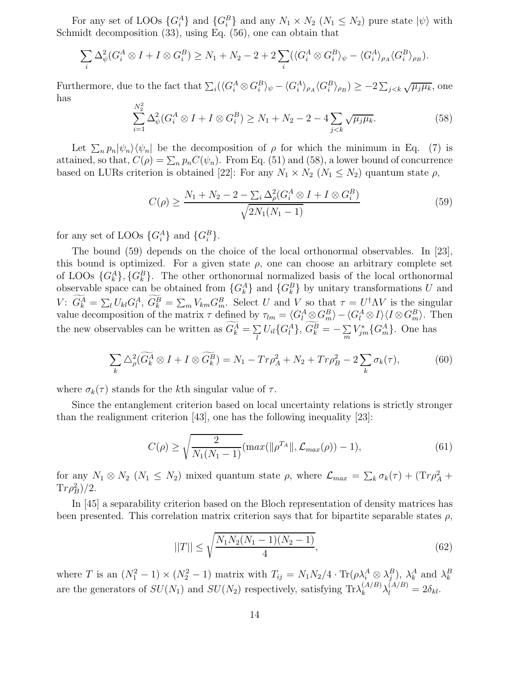For any set of LOOs  $\{G_i^A\}$  and  $\{G_i^B\}$  and any  $N_1 \times N_2$   $(N_1 \le N_2)$  pure state  $|\psi\rangle$  with Schmidt decomposition (33), using Eq. (56), one can obtain that

$$
\sum_{i} \Delta_{\psi}^{2}(G_{i}^{A} \otimes I + I \otimes G_{i}^{B}) \ge N_{1} + N_{2} - 2 + 2 \sum_{i} (\langle G_{i}^{A} \otimes G_{i}^{B} \rangle_{\psi} - \langle G_{i}^{A} \rangle_{\rho_{A}} \langle G_{i}^{B} \rangle_{\rho_{B}}).
$$

Furthermore, due to the fact that  $\sum_i (\langle G_i^A \otimes G_i^B \rangle_{\psi} - \langle G_i^A \rangle_{\rho_A} \langle G_i^B \rangle_{\rho_B}) \geq -2 \sum_{j < k} \sqrt{\mu_j \mu_k}$ , one has  $N^2$ 

$$
\sum_{i=1}^{N_2} \Delta_{\psi}^2 (G_i^A \otimes I + I \otimes G_i^B) \ge N_1 + N_2 - 2 - 4 \sum_{j < k} \sqrt{\mu_j \mu_k}.\tag{58}
$$

Let  $\sum_n p_n |\psi_n\rangle \langle \psi_n|$  be the decomposition of  $\rho$  for which the minimum in Eq. (7) is attained, so that,  $C(\rho) = \sum_n p_n C(\psi_n)$ . From Eq. (51) and (58), a lower bound of concurrence based on LURs criterion is obtained [22]: For any  $N_1 \times N_2$   $(N_1 \leq N_2)$  quantum state  $\rho$ ,

$$
C(\rho) \ge \frac{N_1 + N_2 - 2 - \sum_i \Delta_{\rho}^2 (G_i^A \otimes I + I \otimes G_i^B)}{\sqrt{2N_1(N_1 - 1)}}
$$
(59)

for any set of LOOs  $\{G_i^A\}$  and  $\{G_i^B\}$ .

The bound (59) depends on the choice of the local orthonormal observables. In [23], this bound is optimized. For a given state  $\rho$ , one can choose an arbitrary complete set of LOOs  $\{G_k^A\}$ ,  $\{G_k^B\}$ . The other orthonormal normalized basis of the local orthonormal observable space can be obtained from  ${G_k^A}$  and  ${G_k^B}$  by unitary transformations U and V:  $G_k^A = \sum_l U_{kl} G_l^A$ ,  $G_k^B = \sum_m V_{km} G_m^B$ . Select U and V so that  $\tau = U^{\dagger} \Lambda V$  is the singular value decomposition of the matrix  $\tau$  defined by  $\tau_{lm} = \langle G_l^A \otimes G_m^B \rangle - \langle G_l^A \otimes I \rangle \langle I \otimes G_m^B \rangle$ . Then the new observables can be written as  $G_k^A = \sum_i$  $\sum_l U_{il} \{G_l^A\},\ G_k^B = -\sum_m$  $\sum_{m} V_{jm}^*\{G_m^A\}$ . One has

$$
\sum_{k} \Delta_{\rho}^{2} (\widetilde{G}_{k}^{A} \otimes I + I \otimes \widetilde{G}_{k}^{B}) = N_{1} - Tr \rho_{A}^{2} + N_{2} + Tr \rho_{B}^{2} - 2 \sum_{k} \sigma_{k}(\tau), \tag{60}
$$

where  $\sigma_k(\tau)$  stands for the kth singular value of  $\tau$ .

Since the entanglement criterion based on local uncertainty relations is strictly stronger than the realignment criterion [43], one has the following inequality [23]:

$$
C(\rho) \ge \sqrt{\frac{2}{N_1(N_1 - 1)}} (\max(\|\rho^{T_A}\|, \mathcal{L}_{\max}(\rho)) - 1),
$$
\n(61)

for any  $N_1 \otimes N_2$   $(N_1 \leq N_2)$  mixed quantum state  $\rho$ , where  $\mathcal{L}_{max} = \sum_k \sigma_k(\tau) + (Tr \rho_A^2 +$  $Tr \rho_B^2)/2.$ 

In [45] a separability criterion based on the Bloch representation of density matrices has been presented. This correlation matrix criterion says that for bipartite separable states  $\rho$ ,

$$
||T|| \le \sqrt{\frac{N_1 N_2 (N_1 - 1)(N_2 - 1)}{4}},\tag{62}
$$

where T is an  $(N_1^2 - 1) \times (N_2^2 - 1)$  matrix with  $T_{ij} = N_1 N_2 / 4 \cdot \text{Tr}(\rho \lambda_i^A \otimes \lambda_j^B)$ ,  $\lambda_i^A$  and  $\lambda_k^B$ are the generators of  $SU(N_1)$  and  $SU(N_2)$  respectively, satisfying  $\text{Tr}\lambda_k^{(A/B)}\lambda_l^{(A/B)}=2\delta_{kl}$ .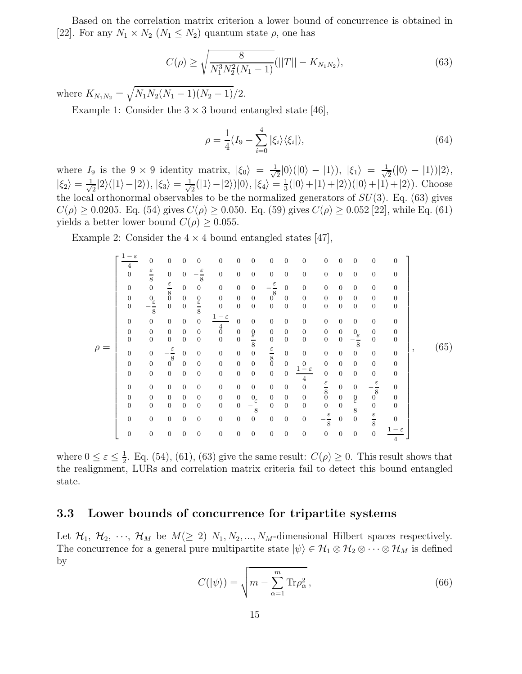Based on the correlation matrix criterion a lower bound of concurrence is obtained in [22]. For any  $N_1 \times N_2$   $(N_1 \leq N_2)$  quantum state  $\rho$ , one has

$$
C(\rho) \ge \sqrt{\frac{8}{N_1^3 N_2^2 (N_1 - 1)}} (||T|| - K_{N_1 N_2}),
$$
\n(63)

where  $K_{N_1N_2} = \sqrt{N_1N_2(N_1-1)(N_2-1)}/2$ .

Example 1: Consider the  $3 \times 3$  bound entangled state [46],

$$
\rho = \frac{1}{4} (I_9 - \sum_{i=0}^{4} |\xi_i\rangle\langle\xi_i|),\tag{64}
$$

where  $I_9$  is the  $9 \times 9$  identity matrix,  $|\xi_0\rangle = \frac{1}{\sqrt{3}}$  $\frac{1}{2}|0\rangle(|0\rangle - |1\rangle), |\xi_1\rangle = \frac{1}{\sqrt{2}}$  $\frac{1}{2}(|0\rangle - |1\rangle)|2\rangle,$  $|\xi_2\rangle = \frac{1}{\sqrt{2}}$  $\frac{1}{2}|2\rangle(|1\rangle-|2\rangle), |\xi_3\rangle = \frac{1}{\sqrt{2}}$  $\frac{1}{2}(|1\rangle-|2\rangle)|0\rangle, |\xi_4\rangle=\frac{1}{3}$  $\frac{1}{3}(|0\rangle+|1\rangle+|2\rangle)(|0\rangle+|1\rangle+|2\rangle)$ . Choose the local orthonormal observables to be the normalized generators of  $SU(3)$ . Eq. (63) gives  $C(\rho) \ge 0.0205$ . Eq. (54) gives  $C(\rho) \ge 0.050$ . Eq. (59) gives  $C(\rho) \ge 0.052$  [22], while Eq. (61) yields a better lower bound  $C(\rho) \geq 0.055$ .

Example 2: Consider the  $4 \times 4$  bound entangled states [47],

ρ = 1 − ε 4 0 0 0 0 0 0 0 0 0 0 0 0 0 0 0 0 ε 8 0 0 − ε 8 0 0 0 0 0 0 0 0 0 0 0 0 0 ε 8 0 0 0 0 0 − ε 8 0 0 0 0 0 0 0 0 0 0 0 0 0 0 0 0 0 0 0 0 0 0 0 0 − ε 8 0 0 ε 8 0 0 0 0 0 0 0 0 0 0 0 0 0 0 0 0 1 − ε 4 0 0 0 0 0 0 0 0 0 0 0 0 0 0 0 0 0 0 0 0 0 0 0 0 0 0 0 0 0 0 0 0 0 ε 8 0 0 0 0 0 − ε 8 0 0 0 0 − ε 8 0 0 0 0 0 ε 8 0 0 0 0 0 0 0 0 0 0 0 0 0 0 0 0 0 0 0 0 0 0 0 0 0 0 0 0 0 0 0 0 0 1 − ε 4 0 0 0 0 0 0 0 0 0 0 0 0 0 0 0 0 ε 8 0 0 − ε 8 0 0 0 0 0 0 0 0 0 0 0 0 0 0 0 0 0 0 0 0 0 0 0 0 − ε 8 0 0 0 0 0 ε 8 0 0 0 0 0 0 0 0 0 0 0 0 0 − ε 8 0 0 ε 8 0 0 0 0 0 0 0 0 0 0 0 0 0 0 0 0 1 − ε 4 , (65)

where  $0 \leq \varepsilon \leq \frac{1}{2}$  $\frac{1}{2}$ . Eq. (54), (61), (63) give the same result:  $C(\rho) \geq 0$ . This result shows that the realignment, LURs and correlation matrix criteria fail to detect this bound entangled state.

#### 3.3 Lower bounds of concurrence for tripartite systems

Let  $\mathcal{H}_1, \mathcal{H}_2, \cdots, \mathcal{H}_M$  be  $M(\geq 2)$   $N_1, N_2, \ldots, N_M$ -dimensional Hilbert spaces respectively. The concurrence for a general pure multipartite state  $|\psi\rangle \in \mathcal{H}_1 \otimes \mathcal{H}_2 \otimes \cdots \otimes \mathcal{H}_M$  is defined by

$$
C(|\psi\rangle) = \sqrt{m - \sum_{\alpha=1}^{m} \text{Tr}\rho_{\alpha}^{2}}\,,\tag{66}
$$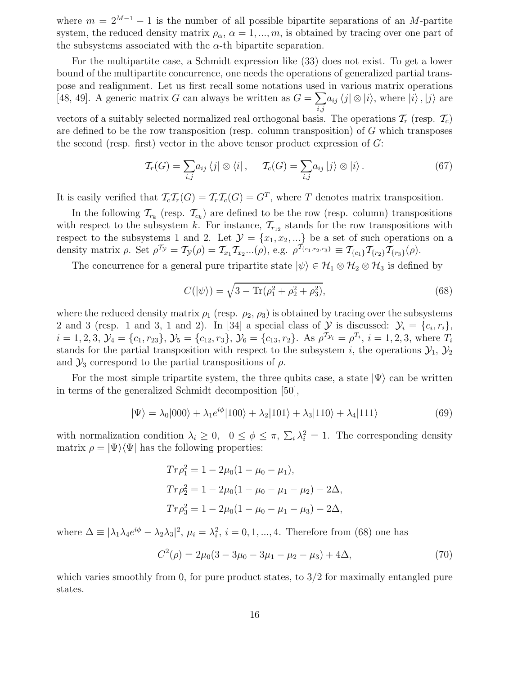where  $m = 2^{M-1} - 1$  is the number of all possible bipartite separations of an M-partite system, the reduced density matrix  $\rho_{\alpha}$ ,  $\alpha = 1, ..., m$ , is obtained by tracing over one part of the subsystems associated with the  $\alpha$ -th bipartite separation.

For the multipartite case, a Schmidt expression like (33) does not exist. To get a lower bound of the multipartite concurrence, one needs the operations of generalized partial transpose and realignment. Let us first recall some notations used in various matrix operations [48, 49]. A generic matrix G can always be written as  $G = \sum a_{ij} \langle j | \otimes | i \rangle$ , where  $|i \rangle$ ,  $|j \rangle$  are  $_{i,j}$ vectors of a suitably selected normalized real orthogonal basis. The operations  $\mathcal{T}_r$  (resp.  $\mathcal{T}_c$ ) are defined to be the row transposition (resp. column transposition) of G which transposes the second (resp. first) vector in the above tensor product expression of  $G$ :

$$
\mathcal{T}_r(G) = \sum_{i,j} a_{ij} \langle j | \otimes \langle i | , \quad \mathcal{T}_c(G) = \sum_{i,j} a_{ij} | j \rangle \otimes | i \rangle. \tag{67}
$$

It is easily verified that  $\mathcal{T}_c\mathcal{T}_r(G) = \mathcal{T}_r\mathcal{T}_c(G) = G^T$ , where T denotes matrix transposition.

In the following  $\mathcal{T}_{r_k}$  (resp.  $\mathcal{T}_{c_k}$ ) are defined to be the row (resp. column) transpositions with respect to the subsystem k. For instance,  $\mathcal{T}_{r_{12}}$  stands for the row transpositions with respect to the subsystems 1 and 2. Let  $\mathcal{Y} = \{x_1, x_2, ...\}$  be a set of such operations on a density matrix  $\rho$ . Set  $\rho^{T_{\mathcal{Y}}} = T_{\mathcal{Y}}(\rho) = T_{x_1} T_{x_2} ... (\rho)$ , e.g.  $\rho^{T_{\{c_1, r_2, r_3\}}} \equiv T_{\{c_1\}} T_{\{r_2\}} T_{\{r_3\}}(\rho)$ .

The concurrence for a general pure tripartite state  $|\psi\rangle \in \mathcal{H}_1 \otimes \mathcal{H}_2 \otimes \mathcal{H}_3$  is defined by

$$
C(|\psi\rangle) = \sqrt{3 - \text{Tr}(\rho_1^2 + \rho_2^2 + \rho_3^2)},
$$
\n(68)

where the reduced density matrix  $\rho_1$  (resp.  $\rho_2$ ,  $\rho_3$ ) is obtained by tracing over the subsystems 2 and 3 (resp. 1 and 3, 1 and 2). In [34] a special class of  $\mathcal{Y}$  is discussed:  $\mathcal{Y}_i = \{c_i, r_i\}$ ,  $i = 1, 2, 3, \mathcal{Y}_4 = \{c_1, r_{23}\}, \mathcal{Y}_5 = \{c_{12}, r_3\}, \mathcal{Y}_6 = \{c_{13}, r_2\}.$  As  $\rho^{\mathcal{T}_{\mathcal{Y}_i}} = \rho^{T_i}, i = 1, 2, 3$ , where  $T_i$ stands for the partial transposition with respect to the subsystem i, the operations  $\mathcal{Y}_1, \mathcal{Y}_2$ and  $\mathcal{Y}_3$  correspond to the partial transpositions of  $\rho$ .

For the most simple tripartite system, the three qubits case, a state  $|\Psi\rangle$  can be written in terms of the generalized Schmidt decomposition [50],

$$
|\Psi\rangle = \lambda_0|000\rangle + \lambda_1 e^{i\phi}|100\rangle + \lambda_2|101\rangle + \lambda_3|110\rangle + \lambda_4|111\rangle
$$
 (69)

with normalization condition  $\lambda_i \geq 0$ ,  $0 \leq \phi \leq \pi$ ,  $\Sigma_i \lambda_i^2 = 1$ . The corresponding density matrix  $\rho = |\Psi\rangle\langle\Psi|$  has the following properties:

$$
Tr\rho_1^2 = 1 - 2\mu_0(1 - \mu_0 - \mu_1),
$$
  
\n
$$
Tr\rho_2^2 = 1 - 2\mu_0(1 - \mu_0 - \mu_1 - \mu_2) - 2\Delta,
$$
  
\n
$$
Tr\rho_3^2 = 1 - 2\mu_0(1 - \mu_0 - \mu_1 - \mu_3) - 2\Delta,
$$

where  $\Delta \equiv |\lambda_1 \lambda_4 e^{i\phi} - \lambda_2 \lambda_3|^2$ ,  $\mu_i = \lambda_i^2$ ,  $i = 0, 1, ..., 4$ . Therefore from (68) one has

$$
C^{2}(\rho) = 2\mu_{0}(3 - 3\mu_{0} - 3\mu_{1} - \mu_{2} - \mu_{3}) + 4\Delta, \qquad (70)
$$

which varies smoothly from 0, for pure product states, to  $3/2$  for maximally entangled pure states.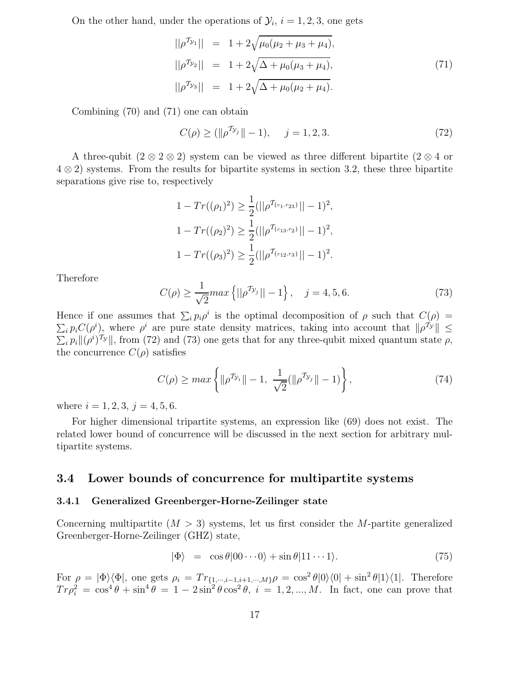On the other hand, under the operations of  $\mathcal{Y}_i$ ,  $i = 1, 2, 3$ , one gets

$$
||\rho^{\mathcal{T}_{\mathcal{Y}_1}}|| = 1 + 2\sqrt{\mu_0(\mu_2 + \mu_3 + \mu_4)},
$$
  
\n
$$
||\rho^{\mathcal{T}_{\mathcal{Y}_2}}|| = 1 + 2\sqrt{\Delta + \mu_0(\mu_3 + \mu_4)},
$$
  
\n
$$
||\rho^{\mathcal{T}_{\mathcal{Y}_3}}|| = 1 + 2\sqrt{\Delta + \mu_0(\mu_2 + \mu_4)}.
$$
\n(71)

Combining (70) and (71) one can obtain

$$
C(\rho) \ge (\|\rho^{\mathcal{T}_{\mathcal{Y}_j}}\| - 1), \quad j = 1, 2, 3. \tag{72}
$$

A three-qubit  $(2 \otimes 2 \otimes 2)$  system can be viewed as three different bipartite  $(2 \otimes 4$  or 4 ⊗ 2) systems. From the results for bipartite systems in section 3.2, these three bipartite separations give rise to, respectively

$$
1 - Tr((\rho_1)^2) \ge \frac{1}{2} (||\rho^{T_{\{c_1, r_{23}\}}}|| - 1)^2,
$$
  
\n
$$
1 - Tr((\rho_2)^2) \ge \frac{1}{2} (||\rho^{T_{\{c_{13}, r_{2}\}}}|| - 1)^2,
$$
  
\n
$$
1 - Tr((\rho_3)^2) \ge \frac{1}{2} (||\rho^{T_{\{c_{12}, r_{3}\}}}|| - 1)^2.
$$

Therefore

$$
C(\rho) \ge \frac{1}{\sqrt{2}} \max \left\{ ||\rho^{\mathcal{T}_{\mathcal{Y}_j}}|| - 1 \right\}, \quad j = 4, 5, 6. \tag{73}
$$

Hence if one assumes that  $\sum_i p_i \rho^i$  is the optimal decomposition of  $\rho$  such that  $C(\rho)$  =  $\sum_i p_i C(\rho^i)$ , where  $\rho^i$  are pure state density matrices, taking into account that  $\|\rho^{\tau_y}\| \le$  $\sum_i p_i ||(\rho^i)^{\mathcal{T}_{\mathcal{Y}}}||$ , from (72) and (73) one gets that for any three-qubit mixed quantum state  $\rho$ , the concurrence  $C(\rho)$  satisfies

$$
C(\rho) \ge \max\left\{ \|\rho^{\mathcal{I}_{\mathcal{Y}_i}}\| - 1, \ \frac{1}{\sqrt{2}}(\|\rho^{\mathcal{I}_{\mathcal{Y}_j}}\| - 1) \right\},\tag{74}
$$

where  $i = 1, 2, 3, j = 4, 5, 6$ .

For higher dimensional tripartite systems, an expression like (69) does not exist. The related lower bound of concurrence will be discussed in the next section for arbitrary multipartite systems.

#### 3.4 Lower bounds of concurrence for multipartite systems

#### 3.4.1 Generalized Greenberger-Horne-Zeilinger state

Concerning multipartite  $(M > 3)$  systems, let us first consider the M-partite generalized Greenberger-Horne-Zeilinger (GHZ) state,

$$
|\Phi\rangle = \cos\theta|00\cdots0\rangle + \sin\theta|11\cdots1\rangle. \tag{75}
$$

For  $\rho = |\Phi\rangle\langle\Phi|$ , one gets  $\rho_i = Tr_{\{1,\cdots,i-1,i+1,\cdots,M\}}\rho = \cos^2\theta|0\rangle\langle0| + \sin^2\theta|1\rangle\langle1|$ . Therefore  $Tr \rho_i^2 = \cos^4 \theta + \sin^4 \theta = 1 - 2 \sin^2 \theta \cos^2 \theta$ ,  $i = 1, 2, ..., M$ . In fact, one can prove that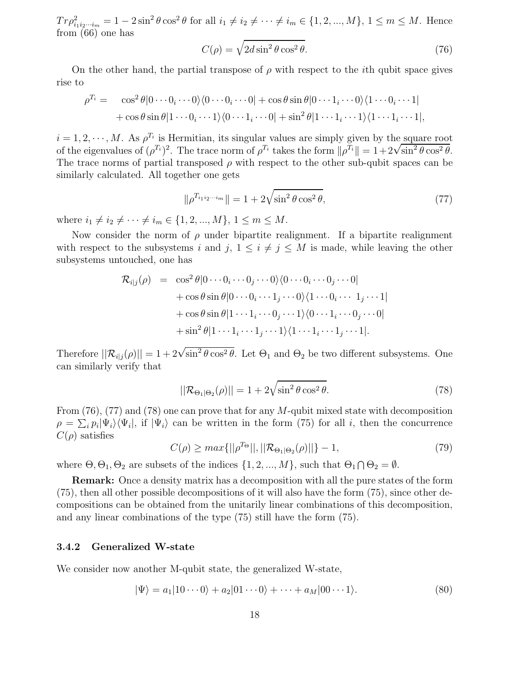$Tr \rho_{i_1 i_2 \cdots i_m}^2 = 1 - 2 \sin^2 \theta \cos^2 \theta$  for all  $i_1 \neq i_2 \neq \cdots \neq i_m \in \{1, 2, ..., M\}, 1 \leq m \leq M$ . Hence from (66) one has

$$
C(\rho) = \sqrt{2d\sin^2\theta\cos^2\theta}.
$$
 (76)

On the other hand, the partial transpose of  $\rho$  with respect to the *i*th qubit space gives rise to

$$
\rho^{T_i} = \cos^2 \theta |0 \cdots 0_i \cdots 0\rangle\langle 0 \cdots 0_i \cdots 0| + \cos \theta \sin \theta |0 \cdots 1_i \cdots 0\rangle\langle 1 \cdots 0_i \cdots 1|
$$
  
+  $\cos \theta \sin \theta |1 \cdots 0_i \cdots 1\rangle\langle 0 \cdots 1_i \cdots 0| + \sin^2 \theta |1 \cdots 1_i \cdots 1\rangle\langle 1 \cdots 1_i \cdots 1|,$ 

 $i = 1, 2, \dots, M$ . As  $\rho^{T_i}$  is Hermitian, its singular values are simply given by the square root of the eigenvalues of  $(\rho^{T_i})^2$ . The trace norm of  $\rho^{T_i}$  takes the form  $\|\rho^{T_i}\| = 1 + 2\sqrt{\sin^2\theta\cos^2\theta}$ . The trace norms of partial transposed  $\rho$  with respect to the other sub-qubit spaces can be similarly calculated. All together one gets

$$
\|\rho^{T_{i_1 i_2 \cdots i_m}}\| = 1 + 2\sqrt{\sin^2 \theta \cos^2 \theta},\tag{77}
$$

where  $i_1 \neq i_2 \neq \cdots \neq i_m \in \{1, 2, ..., M\}, 1 \leq m \leq M$ .

Now consider the norm of  $\rho$  under bipartite realignment. If a bipartite realignment with respect to the subsystems i and j,  $1 \leq i \neq j \leq M$  is made, while leaving the other subsystems untouched, one has

$$
\mathcal{R}_{i|j}(\rho) = \cos^2 \theta |0 \cdots 0_i \cdots 0_j \cdots 0\rangle \langle 0 \cdots 0_i \cdots 0_j \cdots 0|
$$
  
+  $\cos \theta \sin \theta |0 \cdots 0_i \cdots 1_j \cdots 0\rangle \langle 1 \cdots 0_i \cdots 1_j \cdots 1|$   
+  $\cos \theta \sin \theta |1 \cdots 1_i \cdots 0_j \cdots 1\rangle \langle 0 \cdots 1_i \cdots 0_j \cdots 0|$   
+  $\sin^2 \theta |1 \cdots 1_i \cdots 1_j \cdots 1\rangle \langle 1 \cdots 1_i \cdots 1_j \cdots 1|.$ 

Therefore  $||\mathcal{R}_{i|j}(\rho)|| = 1 + 2\sqrt{\sin^2\theta\cos^2\theta}$ . Let  $\Theta_1$  and  $\Theta_2$  be two different subsystems. One can similarly verify that

$$
||\mathcal{R}_{\Theta_1|\Theta_2}(\rho)|| = 1 + 2\sqrt{\sin^2\theta\cos^2\theta}.
$$
 (78)

From  $(76)$ ,  $(77)$  and  $(78)$  one can prove that for any M-qubit mixed state with decomposition  $\rho = \sum_i p_i |\Psi_i\rangle\langle\Psi_i|$ , if  $|\Psi_i\rangle$  can be written in the form (75) for all *i*, then the concurrence  $C(\rho)$  satisfies

$$
C(\rho) \ge \max\{||\rho^{T_{\Theta}}||, ||\mathcal{R}_{\Theta_1|\Theta_2}(\rho)||\} - 1,\tag{79}
$$

where  $\Theta$ ,  $\Theta_1$ ,  $\Theta_2$  are subsets of the indices  $\{1, 2, ..., M\}$ , such that  $\Theta_1 \cap \Theta_2 = \emptyset$ .

Remark: Once a density matrix has a decomposition with all the pure states of the form (75), then all other possible decompositions of it will also have the form (75), since other decompositions can be obtained from the unitarily linear combinations of this decomposition, and any linear combinations of the type (75) still have the form (75).

#### 3.4.2 Generalized W-state

We consider now another M-qubit state, the generalized W-state,

$$
|\Psi\rangle = a_1|10\cdots 0\rangle + a_2|01\cdots 0\rangle + \cdots + a_M|00\cdots 1\rangle. \tag{80}
$$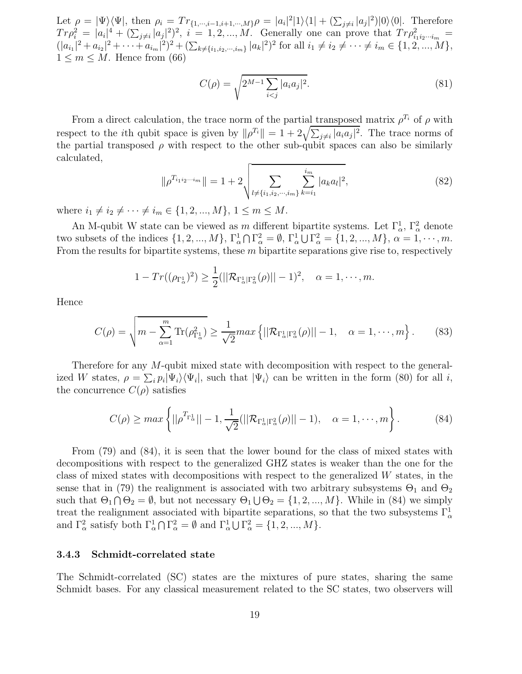Let  $\rho = |\Psi\rangle\langle\Psi|$ , then  $\rho_i = Tr_{\{1,\cdots,i-1,i+1,\cdots,M\}}\rho = |a_i|^2|1\rangle\langle1| + (\sum_{j\neq i}|a_j|^2)|0\rangle\langle0|$ . Therefore  $Tr \rho_i^2 = |a_i|^4 + (\sum_{j \neq i} |a_j|^2)^2$ ,  $i = 1, 2, ..., M$ . Generally one can prove that  $Tr \rho_{i_1 i_2 \cdots i_m}^2 =$  $(|a_{i_1}|^2 + a_{i_2}|^2 + \cdots + a_{i_m}|^2)^2 + (\sum_{k \neq \{i_1, i_2, \dots, i_m\}} |a_k|^2)^2$  for all  $i_1 \neq i_2 \neq \cdots \neq i_m \in \{1, 2, \dots, M\},$  $1 \leq m \leq M$ . Hence from (66)

$$
C(\rho) = \sqrt{2^{M-1} \sum_{i < j} |a_i a_j|^2}.\tag{81}
$$

From a direct calculation, the trace norm of the partial transposed matrix  $\rho^{T_i}$  of  $\rho$  with respect to the *i*th qubit space is given by  $\|\rho^{T_i}\| = 1 + 2\sqrt{\sum_{j\neq i} |a_i a_j|^2}$ . The trace norms of the partial transposed  $\rho$  with respect to the other sub-qubit spaces can also be similarly calculated,

$$
\|\rho^{T_{i_1 i_2 \cdots i_m}}\| = 1 + 2 \sqrt{\sum_{l \neq \{i_1, i_2, \cdots, i_m\}} \sum_{k=i_1}^{i_m} |a_k a_l|^2},
$$
\n(82)

where  $i_1 \neq i_2 \neq \cdots \neq i_m \in \{1, 2, ..., M\}, 1 \leq m \leq M$ .

An M-qubit W state can be viewed as m different bipartite systems. Let  $\Gamma^1_\alpha$ ,  $\Gamma^2_\alpha$  denote two subsets of the indices  $\{1, 2, ..., M\}$ ,  $\Gamma_\alpha^1 \cap \Gamma_\alpha^2 = \emptyset$ ,  $\Gamma_\alpha^1 \cup \Gamma_\alpha^2 = \{1, 2, ..., M\}$ ,  $\alpha = 1, \dots, m$ . From the results for bipartite systems, these  $m$  bipartite separations give rise to, respectively

$$
1 - Tr((\rho_{\Gamma^1_{\alpha}})^2) \ge \frac{1}{2} (||\mathcal{R}_{\Gamma^1_{\alpha}|\Gamma^2_{\alpha}}(\rho)|| - 1)^2, \quad \alpha = 1, \cdots, m.
$$

Hence

$$
C(\rho) = \sqrt{m - \sum_{\alpha=1}^{m} \text{Tr}(\rho_{\Gamma_{\alpha}}^2)} \ge \frac{1}{\sqrt{2}} max \left\{ ||\mathcal{R}_{\Gamma_{\alpha}^1|\Gamma_{\alpha}^2}(\rho)|| - 1, \quad \alpha = 1, \cdots, m \right\}.
$$
 (83)

Therefore for any M-qubit mixed state with decomposition with respect to the generalized W states,  $\rho = \sum_i p_i |\Psi_i\rangle\langle\Psi_i|$ , such that  $|\Psi_i\rangle$  can be written in the form (80) for all i, the concurrence  $C(\rho)$  satisfies

$$
C(\rho) \ge \max\left\{||\rho^{T_{\Gamma_{\alpha}^{1}}}|| - 1, \frac{1}{\sqrt{2}}(||\mathcal{R}_{\Gamma_{\alpha}^{1}|\Gamma_{\alpha}^{2}}(\rho)|| - 1), \quad \alpha = 1, \cdots, m\right\}.
$$
 (84)

From (79) and (84), it is seen that the lower bound for the class of mixed states with decompositions with respect to the generalized GHZ states is weaker than the one for the class of mixed states with decompositions with respect to the generalized  $W$  states, in the sense that in (79) the realignment is associated with two arbitrary subsystems  $\Theta_1$  and  $\Theta_2$ such that  $\Theta_1 \cap \Theta_2 = \emptyset$ , but not necessary  $\Theta_1 \cup \Theta_2 = \{1, 2, ..., M\}$ . While in (84) we simply treat the realignment associated with bipartite separations, so that the two subsystems  $\Gamma^1_\alpha$ and  $\Gamma^2_{\alpha}$  satisfy both  $\Gamma^1_{\alpha} \cap \Gamma^2_{\alpha} = \emptyset$  and  $\Gamma^1_{\alpha} \cup \Gamma^2_{\alpha} = \{1, 2, ..., M\}.$ 

#### 3.4.3 Schmidt-correlated state

The Schmidt-correlated (SC) states are the mixtures of pure states, sharing the same Schmidt bases. For any classical measurement related to the SC states, two observers will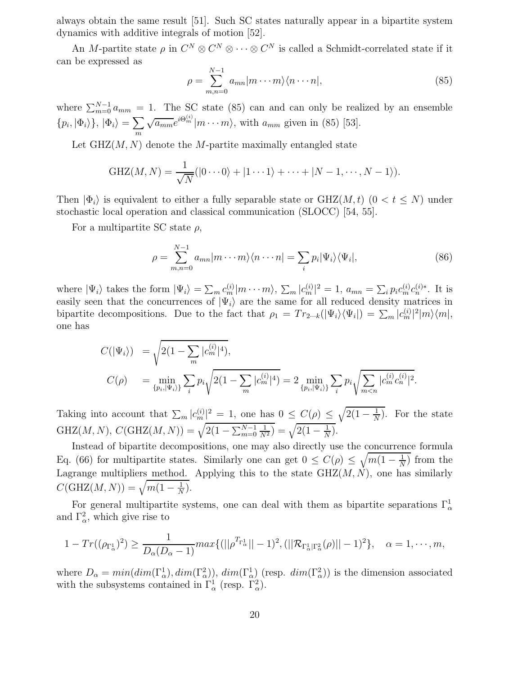always obtain the same result [51]. Such SC states naturally appear in a bipartite system dynamics with additive integrals of motion [52].

An M-partite state  $\rho$  in  $C^N \otimes C^N \otimes \cdots \otimes C^N$  is called a Schmidt-correlated state if it can be expressed as

$$
\rho = \sum_{m,n=0}^{N-1} a_{mn} |m \cdots m\rangle \langle n \cdots n|,\tag{85}
$$

where  $\sum_{m=0}^{N-1} a_{mm} = 1$ . The SC state (85) can and can only be realized by an ensemble  $\{p_i, |\Phi_i\rangle\}, |\Phi_i\rangle = \sum$ m  $\sqrt{a_{mm}}e^{i\Theta_m^{(i)}}|m\cdots m\rangle$ , with  $a_{mm}$  given in (85) [53].

Let  $GHZ(M, N)$  denote the M-partite maximally entangled state

$$
GHZ(M, N) = \frac{1}{\sqrt{N}}(|0 \cdots 0\rangle + |1 \cdots 1\rangle + \cdots + |N - 1, \cdots, N - 1\rangle).
$$

Then  $|\Phi_i\rangle$  is equivalent to either a fully separable state or GHZ(M, t) (0 < t  $\leq N$ ) under stochastic local operation and classical communication (SLOCC) [54, 55].

For a multipartite SC state  $\rho$ ,

$$
\rho = \sum_{m,n=0}^{N-1} a_{mn} |m \cdots m\rangle \langle n \cdots n| = \sum_i p_i |\Psi_i\rangle \langle \Psi_i|,
$$
\n(86)

where  $|\Psi_i\rangle$  takes the form  $|\Psi_i\rangle = \sum_m c_m^{(i)} |m \cdots m\rangle$ ,  $\sum_m |c_m^{(i)}|^2 = 1$ ,  $a_{mn} = \sum_i p_i c_m^{(i)} c_n^{(i)*}$ . It is easily seen that the concurrences of  $|\Psi_i\rangle$  are the same for all reduced density matrices in bipartite decompositions. Due to the fact that  $\rho_1 = Tr_{2\cdots k}(|\Psi_i\rangle\langle\Psi_i|) = \sum_m |c_m^{(i)}|^2 |m\rangle\langle m|$ , one has

$$
C(|\Psi_i\rangle) = \sqrt{2(1 - \sum_m |c_m^{(i)}|^4)},
$$
  
\n
$$
C(\rho) = \min_{\{p_i, |\Psi_i\rangle\}} \sum_i p_i \sqrt{2(1 - \sum_m |c_m^{(i)}|^4)} = 2 \min_{\{p_i, |\Psi_i\rangle\}} \sum_i p_i \sqrt{\sum_{m < n} |c_m^{(i)} c_n^{(i)}|^2}.
$$

Taking into account that  $\sum_m |c_m^{(i)}|^2 = 1$ , one has  $0 \le C(\rho) \le \sqrt{2(1 - \frac{1}{N})^2}$  $\frac{1}{N}$ ). For the state GHZ(M, N),  $C(\text{GHZ}(M, N)) = \sqrt{2(1 - \sum_{m=0}^{N-1} \frac{1}{N^2})} = \sqrt{2(1 - \frac{1}{N})}$  $\frac{1}{N}$ .

Instead of bipartite decompositions, one may also directly use the concurrence formula Eq. (66) for multipartite states. Similarly one can get  $0 \le C(\rho) \le \sqrt{m(1-\frac{1}{N})}$  $\frac{1}{N}$ ) from the Lagrange multipliers method. Applying this to the state  $GHZ(M, N)$ , one has similarly  $C(\text{GHZ}(M, N)) = \sqrt{m(1 - \frac{1}{N})}$  $\frac{1}{N}$ .

For general multipartite systems, one can deal with them as bipartite separations  $\Gamma^1_\alpha$ and  $\Gamma_{\alpha}^2$ , which give rise to

$$
1 - Tr((\rho_{\Gamma^1_{\alpha}})^2) \ge \frac{1}{D_{\alpha}(D_{\alpha} - 1)} max\{ (||\rho^{T_{\Gamma^1_{\alpha}}}|| - 1)^2, (||\mathcal{R}_{\Gamma^1_{\alpha}|\Gamma^2_{\alpha}}(\rho)|| - 1)^2 \}, \quad \alpha = 1, \cdots, m,
$$

where  $D_{\alpha} = min(dim(\Gamma_{\alpha}^{1}), dim(\Gamma_{\alpha}^{2}))$ ,  $dim(\Gamma_{\alpha}^{1})$  (resp.  $dim(\Gamma_{\alpha}^{2}))$ ) is the dimension associated with the subsystems contained in  $\Gamma^1_\alpha$  (resp.  $\Gamma^2_\alpha$ ).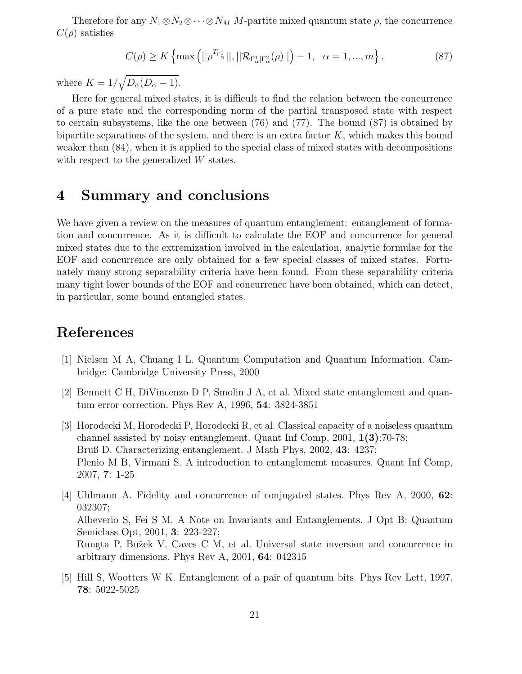Therefore for any  $N_1 \otimes N_2 \otimes \cdots \otimes N_M$  M-partite mixed quantum state  $\rho$ , the concurrence  $C(\rho)$  satisfies

$$
C(\rho) \ge K \left\{ \max \left( ||\rho^{T_{\Gamma_{\alpha}^{1}}||}, ||\mathcal{R}_{\Gamma_{\alpha}^{1}|\Gamma_{\alpha}^{2}}(\rho)|| \right) - 1, \ \alpha = 1, ..., m \right\},
$$
\n(87)

where  $K = 1/\sqrt{D_{\alpha}(D_{\alpha} - 1)}$ .

Here for general mixed states, it is difficult to find the relation between the concurrence of a pure state and the corresponding norm of the partial transposed state with respect to certain subsystems, like the one between (76) and (77). The bound (87) is obtained by bipartite separations of the system, and there is an extra factor  $K$ , which makes this bound weaker than (84), when it is applied to the special class of mixed states with decompositions with respect to the generalized W states.

## 4 Summary and conclusions

We have given a review on the measures of quantum entanglement: entanglement of formation and concurrence. As it is difficult to calculate the EOF and concurrence for general mixed states due to the extremization involved in the calculation, analytic formulae for the EOF and concurrence are only obtained for a few special classes of mixed states. Fortunately many strong separability criteria have been found. From these separability criteria many tight lower bounds of the EOF and concurrence have been obtained, which can detect, in particular, some bound entangled states.

# References

- [1] Nielsen M A, Chuang I L. Quantum Computation and Quantum Information. Cambridge: Cambridge University Press, 2000
- [2] Bennett C H, DiVincenzo D P, Smolin J A, et al. Mixed state entanglement and quantum error correction. Phys Rev A, 1996, 54: 3824-3851
- [3] Horodecki M, Horodecki P, Horodecki R, et al. Classical capacity of a noiseless quantum channel assisted by noisy entanglement. Quant Inf Comp, 2001, 1(3):70-78; Bruß D. Characterizing entanglement. J Math Phys, 2002, 43: 4237; Plenio M B, Virmani S. A introduction to entanglememt measures. Quant Inf Comp, 2007, 7: 1-25
- [4] Uhlmann A. Fidelity and concurrence of conjugated states. Phys Rev A, 2000, 62: 032307; Albeverio S, Fei S M. A Note on Invariants and Entanglements. J Opt B: Quantum Semiclass Opt, 2001, 3: 223-227; Rungta P, Bužek V, Caves C M, et al. Universal state inversion and concurrence in arbitrary dimensions. Phys Rev A, 2001, 64: 042315
- [5] Hill S, Wootters W K. Entanglement of a pair of quantum bits. Phys Rev Lett, 1997, 78: 5022-5025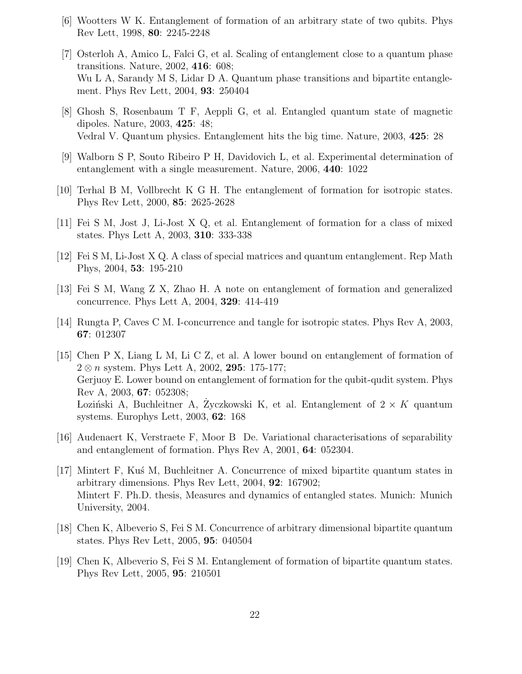- [6] Wootters W K. Entanglement of formation of an arbitrary state of two qubits. Phys Rev Lett, 1998, 80: 2245-2248
- [7] Osterloh A, Amico L, Falci G, et al. Scaling of entanglement close to a quantum phase transitions. Nature, 2002, 416: 608; Wu L A, Sarandy M S, Lidar D A. Quantum phase transitions and bipartite entanglement. Phys Rev Lett, 2004, 93: 250404
- [8] Ghosh S, Rosenbaum T F, Aeppli G, et al. Entangled quantum state of magnetic dipoles. Nature, 2003, 425: 48; Vedral V. Quantum physics. Entanglement hits the big time. Nature, 2003, 425: 28
- [9] Walborn S P, Souto Ribeiro P H, Davidovich L, et al. Experimental determination of entanglement with a single measurement. Nature, 2006, 440: 1022
- [10] Terhal B M, Vollbrecht K G H. The entanglement of formation for isotropic states. Phys Rev Lett, 2000, 85: 2625-2628
- [11] Fei S M, Jost J, Li-Jost X Q, et al. Entanglement of formation for a class of mixed states. Phys Lett A, 2003, 310: 333-338
- [12] Fei S M, Li-Jost X Q. A class of special matrices and quantum entanglement. Rep Math Phys, 2004, 53: 195-210
- [13] Fei S M, Wang Z X, Zhao H. A note on entanglement of formation and generalized concurrence. Phys Lett A, 2004, 329: 414-419
- [14] Rungta P, Caves C M. I-concurrence and tangle for isotropic states. Phys Rev A, 2003, 67: 012307
- [15] Chen P X, Liang L M, Li C Z, et al. A lower bound on entanglement of formation of  $2 \otimes n$  system. Phys Lett A, 2002, 295: 175-177; Gerjuoy E. Lower bound on entanglement of formation for the qubit-qudit system. Phys Rev A, 2003, 67: 052308; Loziński A, Buchleitner A, Zyczkowski K, et al. Entanglement of  $2 \times K$  quantum systems. Europhys Lett, 2003, 62: 168
- [16] Audenaert K, Verstraete F, Moor B De. Variational characterisations of separability and entanglement of formation. Phys Rev A, 2001, 64: 052304.
- [17] Mintert F, Ku´s M, Buchleitner A. Concurrence of mixed bipartite quantum states in arbitrary dimensions. Phys Rev Lett, 2004, 92: 167902; Mintert F. Ph.D. thesis, Measures and dynamics of entangled states. Munich: Munich University, 2004.
- [18] Chen K, Albeverio S, Fei S M. Concurrence of arbitrary dimensional bipartite quantum states. Phys Rev Lett, 2005, 95: 040504
- [19] Chen K, Albeverio S, Fei S M. Entanglement of formation of bipartite quantum states. Phys Rev Lett, 2005, 95: 210501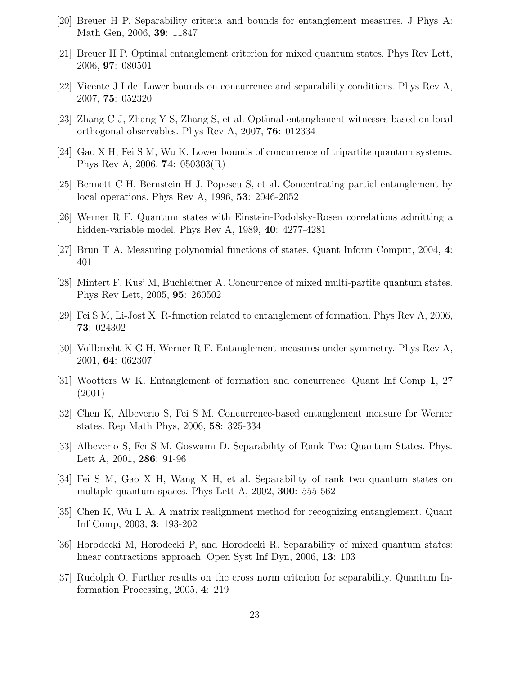- [20] Breuer H P. Separability criteria and bounds for entanglement measures. J Phys A: Math Gen, 2006, 39: 11847
- [21] Breuer H P. Optimal entanglement criterion for mixed quantum states. Phys Rev Lett, 2006, 97: 080501
- [22] Vicente J I de. Lower bounds on concurrence and separability conditions. Phys Rev A, 2007, 75: 052320
- [23] Zhang C J, Zhang Y S, Zhang S, et al. Optimal entanglement witnesses based on local orthogonal observables. Phys Rev A, 2007, 76: 012334
- [24] Gao X H, Fei S M, Wu K. Lower bounds of concurrence of tripartite quantum systems. Phys Rev A, 2006, 74: 050303(R)
- [25] Bennett C H, Bernstein H J, Popescu S, et al. Concentrating partial entanglement by local operations. Phys Rev A, 1996, 53: 2046-2052
- [26] Werner R F. Quantum states with Einstein-Podolsky-Rosen correlations admitting a hidden-variable model. Phys Rev A, 1989, 40: 4277-4281
- [27] Brun T A. Measuring polynomial functions of states. Quant Inform Comput, 2004, 4: 401
- [28] Mintert F, Kus' M, Buchleitner A. Concurrence of mixed multi-partite quantum states. Phys Rev Lett, 2005, 95: 260502
- [29] Fei S M, Li-Jost X. R-function related to entanglement of formation. Phys Rev A, 2006, 73: 024302
- [30] Vollbrecht K G H, Werner R F. Entanglement measures under symmetry. Phys Rev A, 2001, 64: 062307
- [31] Wootters W K. Entanglement of formation and concurrence. Quant Inf Comp 1, 27 (2001)
- [32] Chen K, Albeverio S, Fei S M. Concurrence-based entanglement measure for Werner states. Rep Math Phys, 2006, 58: 325-334
- [33] Albeverio S, Fei S M, Goswami D. Separability of Rank Two Quantum States. Phys. Lett A, 2001, 286: 91-96
- [34] Fei S M, Gao X H, Wang X H, et al. Separability of rank two quantum states on multiple quantum spaces. Phys Lett A, 2002, 300: 555-562
- [35] Chen K, Wu L A. A matrix realignment method for recognizing entanglement. Quant Inf Comp, 2003, 3: 193-202
- [36] Horodecki M, Horodecki P, and Horodecki R. Separability of mixed quantum states: linear contractions approach. Open Syst Inf Dyn, 2006, 13: 103
- [37] Rudolph O. Further results on the cross norm criterion for separability. Quantum Information Processing, 2005, 4: 219